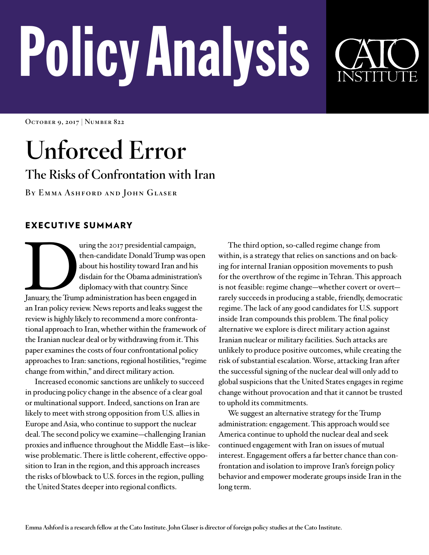# PolicyAnalysis

**October 9, 2017 | Number 822**

## **Unforced Error**

### **The Risks of Confrontation with Iran**

**By Emma Ashford and John Glaser**

#### EXECUTIVE SUMMARY

Using the 2017 presidential campaign,<br>
then-candidate Donald Trump was op<br>
about his hostility toward Iran and his<br>
disdain for the Obama administration<br>
diplomacy with that country. Since<br>
January, the Trump administratio then-candidate Donald Trump was open about his hostility toward Iran and his disdain for the Obama administration's diplomacy with that country. Since an Iran policy review. News reports and leaks suggest the review is highly likely to recommend a more confrontational approach to Iran, whether within the framework of the Iranian nuclear deal or by withdrawing from it. This paper examines the costs of four confrontational policy approaches to Iran: sanctions, regional hostilities, "regime change from within," and direct military action.

Increased economic sanctions are unlikely to succeed in producing policy change in the absence of a clear goal or multinational support. Indeed, sanctions on Iran are likely to meet with strong opposition from U.S. allies in Europe and Asia, who continue to support the nuclear deal. The second policy we examine—challenging Iranian proxies and influence throughout the Middle East—is likewise problematic. There is little coherent, effective opposition to Iran in the region, and this approach increases the risks of blowback to U.S. forces in the region, pulling the United States deeper into regional conflicts.

The third option, so-called regime change from within, is a strategy that relies on sanctions and on backing for internal Iranian opposition movements to push for the overthrow of the regime in Tehran. This approach is not feasible: regime change—whether covert or overt rarely succeeds in producing a stable, friendly, democratic regime. The lack of any good candidates for U.S. support inside Iran compounds this problem. The final policy alternative we explore is direct military action against Iranian nuclear or military facilities. Such attacks are unlikely to produce positive outcomes, while creating the risk of substantial escalation. Worse, attacking Iran after the successful signing of the nuclear deal will only add to global suspicions that the United States engages in regime change without provocation and that it cannot be trusted to uphold its commitments.

We suggest an alternative strategy for the Trump administration: engagement. This approach would see America continue to uphold the nuclear deal and seek continued engagement with Iran on issues of mutual interest. Engagement offers a far better chance than confrontation and isolation to improve Iran's foreign policy behavior and empower moderate groups inside Iran in the long term.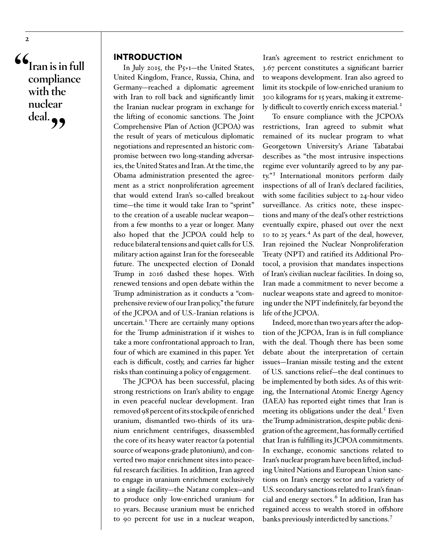**"Iran is in full compliance with the nuclear**  deal. **99** 

#### INTRODUCTION

In July 2015, the P5+1—the United States, United Kingdom, France, Russia, China, and Germany—reached a diplomatic agreement with Iran to roll back and significantly limit the Iranian nuclear program in exchange for the lifting of economic sanctions. The Joint Comprehensive Plan of Action (JCPOA) was the result of years of meticulous diplomatic negotiations and represented an historic compromise between two long-standing adversaries, the United States and Iran. At the time, the Obama administration presented the agreement as a strict nonproliferation agreement that would extend Iran's so-called breakout time—the time it would take Iran to "sprint" to the creation of a useable nuclear weapon from a few months to a year or longer. Many also hoped that the JCPOA could help to reduce bilateral tensions and quiet calls for U.S. military action against Iran for the foreseeable future. The unexpected election of Donald Trump in 2016 dashed these hopes. With renewed tensions and open debate within the Trump administration as it conducts a "comprehensive review of our Iran policy," the future of the JCPOA and of U.S.-Iranian relations is uncertain.<sup>I</sup> There are certainly many options for the Trump administration if it wishes to take a more confrontational approach to Iran, four of which are examined in this paper. Yet each is difficult, costly, and carries far higher risks than continuing a policy of engagement.

The JCPOA has been successful, placing strong restrictions on Iran's ability to engage in even peaceful nuclear development. Iran removed 98 percent of its stockpile of enriched uranium, dismantled two-thirds of its uranium enrichment centrifuges, disassembled the core of its heavy water reactor (a potential source of weapons-grade plutonium), and converted two major enrichment sites into peaceful research facilities. In addition, Iran agreed to engage in uranium enrichment exclusively at a single facility—the Natanz complex—and to produce only low-enriched uranium for 10 years. Because uranium must be enriched to 90 percent for use in a nuclear weapon,

Iran's agreement to restrict enrichment to 3.67 percent constitutes a significant barrier to weapons development. Iran also agreed to limit its stockpile of low-enriched uranium to 300 kilograms for 15 years, making it extremely difficult to covertly enrich excess material.[2](#page-15-1)

To ensure compliance with the JCPOA's restrictions, Iran agreed to submit what remained of its nuclear program to what Georgetown University's Ariane Tabatabai describes as "the most intrusive inspections regime ever voluntarily agreed to by any par-ty."<sup>[3](#page-15-2)</sup> International monitors perform daily inspections of all of Iran's declared facilities, with some facilities subject to 24-hour video surveillance. As critics note, these inspections and many of the deal's other restrictions eventually expire, phased out over the next 10 to 25 years.<sup>[4](#page-15-3)</sup> As part of the deal, however, Iran rejoined the Nuclear Nonproliferation Treaty (NPT) and ratified its Additional Protocol, a provision that mandates inspections of Iran's civilian nuclear facilities. In doing so, Iran made a commitment to never become a nuclear weapons state and agreed to monitoring under the NPT indefinitely, far beyond the life of the JCPOA.

Indeed, more than two years after the adoption of the JCPOA, Iran is in full compliance with the deal. Though there has been some debate about the interpretation of certain issues—Iranian missile testing and the extent of U.S. sanctions relief—the deal continues to be implemented by both sides. As of this writing, the International Atomic Energy Agency (IAEA) has reported eight times that Iran is meeting its obligations under the deal.<sup>5</sup> Even the Trump administration, despite public denigration of the agreement, has formally certified that Iran is fulfilling its JCPOA commitments. In exchange, economic sanctions related to Iran's nuclear program have been lifted, including United Nations and European Union sanctions on Iran's energy sector and a variety of U.S. secondary sanctions related to Iran's finan-cial and energy sectors.<sup>[6](#page-15-5)</sup> In addition, Iran has regained access to wealth stored in offshore banks previously interdicted by sanctions. [7](#page-15-6)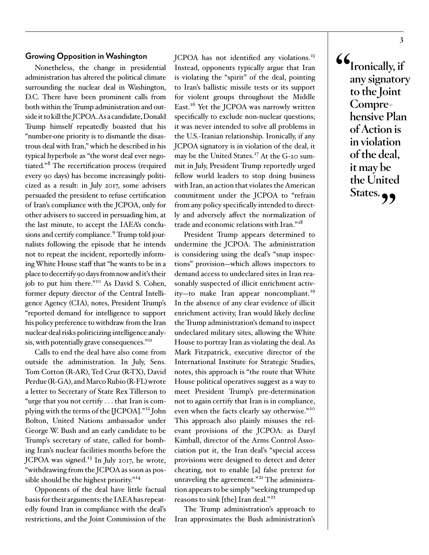#### **Growing Opposition in Washington**

Nonetheless, the change in presidential administration has altered the political climate surrounding the nuclear deal in Washington, D.C. There have been prominent calls from both within the Trump administration and outside it to kill the JCPOA. As a candidate, Donald Trump himself repeatedly boasted that his "number-one priority is to dismantle the disastrous deal with Iran," which he described in his typical hyperbole as "the worst deal ever negotiated."<sup>8</sup> The recertification process (required every 90 days) has become increasingly politicized as a result: in July 2017, some advisers persuaded the president to refuse certification of Iran's compliance with the JCPOA, only for other advisers to succeed in persuading him, at the last minute, to accept the IAEA's conclusions and certify compliance.<sup>9</sup> Trump told journalists following the episode that he intends not to repeat the incident, reportedly informing White House staff that "he wants to be in a place to decertify 90 days from now and it's their job to put him there." [10](#page-16-2) As David S. Cohen, former deputy director of the Central Intelligence Agency (CIA), notes, President Trump's "reported demand for intelligence to support his policy preference to withdraw from the Iran nuclear deal risks politicizing intelligence analysis, with potentially grave consequences."[11](#page-16-3)

Calls to end the deal have also come from outside the administration. In July, Sens. Tom Cotton (R-AR), Ted Cruz (R-TX), David Perdue (R-GA), and Marco Rubio (R-FL) wrote a letter to Secretary of State Rex Tillerson to "urge that you not certify . . . that Iran is complying with the terms of the [JCPOA]." [12](#page-16-4) John Bolton, United Nations ambassador under George W. Bush and an early candidate to be Trump's secretary of state, called for bombing Iran's nuclear facilities months before the JCPOA was signed.<sup>[13](#page-16-5)</sup> In July 2017, he wrote, "withdrawing from the JCPOA as soon as possible should be the highest priority.<sup>"14</sup>

Opponents of the deal have little factual basis for their arguments: the IAEA has repeatedly found Iran in compliance with the deal's restrictions, and the Joint Commission of the JCPOA has not identified any violations.<sup>[15](#page-16-7)</sup> Instead, opponents typically argue that Iran is violating the "spirit" of the deal, pointing to Iran's ballistic missile tests or its support for violent groups throughout the Middle East.<sup>16</sup> Yet the JCPOA was narrowly written specifically to exclude non-nuclear questions; it was never intended to solve all problems in the U.S.-Iranian relationship. Ironically, if any JCPOA signatory is in violation of the deal, it may be the United States.[17](#page-16-9) At the G-20 summit in July, President Trump reportedly urged fellow world leaders to stop doing business with Iran, an action that violates the American commitment under the JCPOA to "refrain from any policy specifically intended to directly and adversely affect the normalization of trade and economic relations with Iran." [18](#page-16-10)

President Trump appears determined to undermine the JCPOA. The administration is considering using the deal's "snap inspections" provision—which allows inspectors to demand access to undeclared sites in Iran reasonably suspected of illicit enrichment activity—to make Iran appear noncompliant. [19](#page-16-11) In the absence of any clear evidence of illicit enrichment activity, Iran would likely decline the Trump administration's demand to inspect undeclared military sites, allowing the White House to portray Iran as violating the deal. As Mark Fitzpatrick, executive director of the International Institute for Strategic Studies, notes, this approach is "the route that White House political operatives suggest as a way to meet President Trump's pre-determination not to again certify that Iran is in compliance, even when the facts clearly say otherwise."<sup>[20](#page-16-12)</sup> This approach also plainly misuses the relevant provisions of the JCPOA: as Daryl Kimball, director of the Arms Control Association put it, the Iran deal's "special access provisions were designed to detect and deter cheating, not to enable [a] false pretext for unraveling the agreement."<sup>[21](#page-16-13)</sup> The administration appears to be simply "seeking trumped up reasons to sink [the] Iran deal."[22](#page-17-0)

The Trump administration's approach to Iran approximates the Bush administration's **"Ironically, if any signatory to the Joint Comprehensive Plan of Action is in violation of the deal, it may be the United**  States.<sub>?</sub>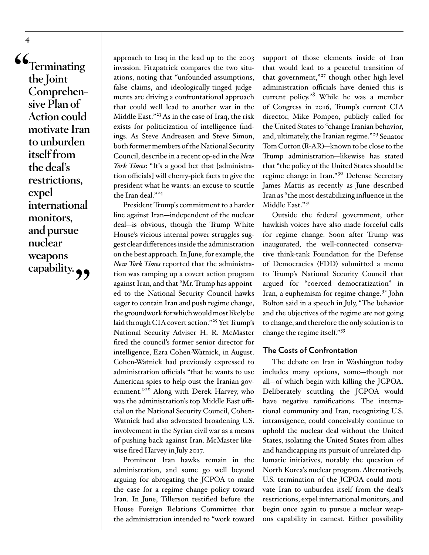**"Terminating the Joint Comprehensive Plan of Action could motivate Iran to unburden itself from the deal's restrictions, expel international monitors, and pursue nuclear weapons**  capability.  $\rightarrow$ 

approach to Iraq in the lead up to the 2003 invasion. Fitzpatrick compares the two situations, noting that "unfounded assumptions, false claims, and ideologically-tinged judgements are driving a confrontational approach that could well lead to another war in the Middle East." $^{23}$  $^{23}$  $^{23}$  As in the case of Iraq, the risk exists for politicization of intelligence findings. As Steve Andreasen and Steve Simon, both former members of the National Security Council, describe in a recent op-ed in the *New York Times*: "It's a good bet that [administration officials] will cherry-pick facts to give the president what he wants: an excuse to scuttle the Iran deal."<sup>[24](#page-17-2)</sup>

President Trump's commitment to a harder line against Iran—independent of the nuclear deal—is obvious, though the Trump White House's vicious internal power struggles suggest clear differences inside the administration on the best approach. In June, for example, the *New York Times* reported that the administration was ramping up a covert action program against Iran, and that "Mr. Trump has appointed to the National Security Council hawks eager to contain Iran and push regime change, the groundwork for which would most likely be laid through CIA covert action."<sup>[25](#page-17-3)</sup> Yet Trump's National Security Adviser H. R. McMaster fired the council's former senior director for intelligence, Ezra Cohen-Watnick, in August. Cohen-Watnick had previously expressed to administration officials "that he wants to use American spies to help oust the Iranian government."[26](#page-17-4) Along with Derek Harvey, who was the administration's top Middle East official on the National Security Council, Cohen-Watnick had also advocated broadening U.S. involvement in the Syrian civil war as a means of pushing back against Iran. McMaster likewise fired Harvey in July 2017.

Prominent Iran hawks remain in the administration, and some go well beyond arguing for abrogating the JCPOA to make the case for a regime change policy toward Iran. In June, Tillerson testified before the House Foreign Relations Committee that the administration intended to "work toward

support of those elements inside of Iran that would lead to a peaceful transition of that government,"<sup>27</sup> though other high-level administration officials have denied this is current policy.<sup>28</sup> While he was a member of Congress in 2016, Trump's current CIA director, Mike Pompeo, publicly called for the United States to "change Iranian behavior, and, ultimately, the Iranian regime."<sup>29</sup> Senator Tom Cotton (R-AR)—known to be close to the Trump administration—likewise has stated that "the policy of the United States should be regime change in Iran."<sup>30</sup> Defense Secretary James Mattis as recently as June described Iran as "the most destabilizing influence in the Middle East."<sup>31</sup>

Outside the federal government, other hawkish voices have also made forceful calls for regime change. Soon after Trump was inaugurated, the well-connected conservative think-tank Foundation for the Defense of Democracies (FDD) submitted a memo to Trump's National Security Council that argued for "coerced democratization" in Iran, a euphemism for regime change. [32](#page-17-10) John Bolton said in a speech in July, "The behavior and the objectives of the regime are not going to change, and therefore the only solution is to change the regime itself." [33](#page-17-11)

#### **The Costs of Confrontation**

The debate on Iran in Washington today includes many options, some—though not all—of which begin with killing the JCPOA. Deliberately scuttling the JCPOA would have negative ramifications. The international community and Iran, recognizing U.S. intransigence, could conceivably continue to uphold the nuclear deal without the United States, isolating the United States from allies and handicapping its pursuit of unrelated diplomatic initiatives, notably the question of North Korea's nuclear program. Alternatively, U.S. termination of the JCPOA could motivate Iran to unburden itself from the deal's restrictions, expel international monitors, and begin once again to pursue a nuclear weapons capability in earnest. Either possibility

**4**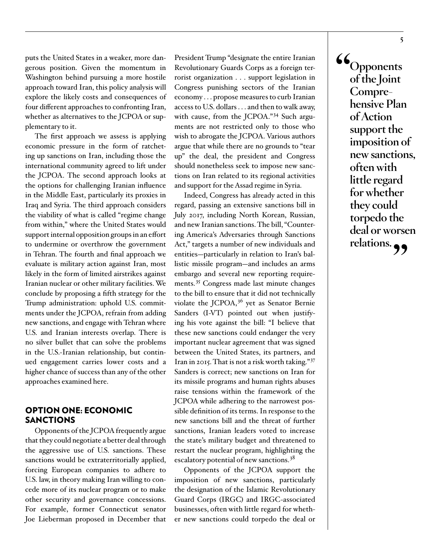puts the United States in a weaker, more dangerous position. Given the momentum in Washington behind pursuing a more hostile approach toward Iran, this policy analysis will explore the likely costs and consequences of four different approaches to confronting Iran, whether as alternatives to the JCPOA or supplementary to it.

The first approach we assess is applying economic pressure in the form of ratcheting up sanctions on Iran, including those the international community agreed to lift under the JCPOA. The second approach looks at the options for challenging Iranian influence in the Middle East, particularly its proxies in Iraq and Syria. The third approach considers the viability of what is called "regime change from within," where the United States would support internal opposition groups in an effort to undermine or overthrow the government in Tehran. The fourth and final approach we evaluate is military action against Iran, most likely in the form of limited airstrikes against Iranian nuclear or other military facilities. We conclude by proposing a fifth strategy for the Trump administration: uphold U.S. commitments under the JCPOA, refrain from adding new sanctions, and engage with Tehran where U.S. and Iranian interests overlap. There is no silver bullet that can solve the problems in the U.S.-Iranian relationship, but continued engagement carries lower costs and a higher chance of success than any of the other approaches examined here.

#### OPTION ONE: ECONOMIC SANCTIONS

Opponents of the JCPOA frequently argue that they could negotiate a better deal through the aggressive use of U.S. sanctions. These sanctions would be extraterritorially applied, forcing European companies to adhere to U.S. law, in theory making Iran willing to concede more of its nuclear program or to make other security and governance concessions. For example, former Connecticut senator Joe Lieberman proposed in December that

President Trump "designate the entire Iranian Revolutionary Guards Corps as a foreign terrorist organization . . . support legislation in Congress punishing sectors of the Iranian economy . . . propose measures to curb Iranian access to U.S. dollars . . . and then to walk away, with cause, from the JCPOA."<sup>34</sup> Such arguments are not restricted only to those who wish to abrogate the JCPOA. Various authors argue that while there are no grounds to "tear up" the deal, the president and Congress should nonetheless seek to impose new sanctions on Iran related to its regional activities and support for the Assad regime in Syria.

Indeed, Congress has already acted in this regard, passing an extensive sanctions bill in July 2017, including North Korean, Russian, and new Iranian sanctions. The bill, "Countering America's Adversaries through Sanctions Act," targets a number of new individuals and entities—particularly in relation to Iran's ballistic missile program—and includes an arms embargo and several new reporting require-ments.<sup>[35](#page-17-13)</sup> Congress made last minute changes to the bill to ensure that it did not technically violate the JCPOA, $3^6$  yet as Senator Bernie Sanders (I-VT) pointed out when justifying his vote against the bill: "I believe that these new sanctions could endanger the very important nuclear agreement that was signed between the United States, its partners, and Iran in 2015. That is not a risk worth taking." [37](#page-17-15) Sanders is correct; new sanctions on Iran for its missile programs and human rights abuses raise tensions within the framework of the JCPOA while adhering to the narrowest possible definition of its terms. In response to the new sanctions bill and the threat of further sanctions, Iranian leaders voted to increase the state's military budget and threatened to restart the nuclear program, highlighting the escalatory potential of new sanctions.<sup>38</sup>

Opponents of the JCPOA support the imposition of new sanctions, particularly the designation of the Islamic Revolutionary Guard Corps (IRGC) and IRGC-associated businesses, often with little regard for whether new sanctions could torpedo the deal or

**"Opponents of the Joint Comprehensive Plan of Action support the imposition of new sanctions, often with little regard for whether they could torpedo the deal or worsen relations."**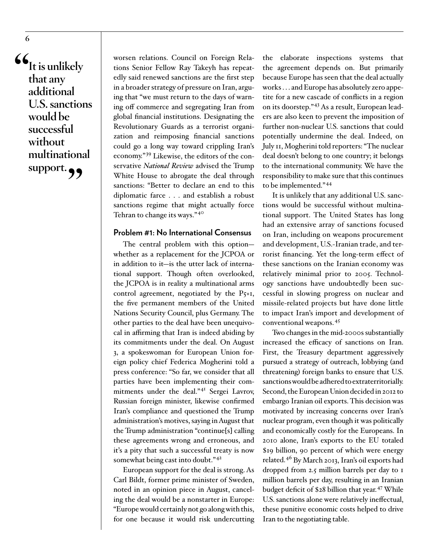**"It is unlikely that any additional U.S. sanctions would be successful without multinational**  support.<sup>99</sup>

worsen relations. Council on Foreign Relations Senior Fellow Ray Takeyh has repeatedly said renewed sanctions are the first step in a broader strategy of pressure on Iran, arguing that "we must return to the days of warning off commerce and segregating Iran from global financial institutions. Designating the Revolutionary Guards as a terrorist organization and reimposing financial sanctions could go a long way toward crippling Iran's economy." [39](#page-18-0) Likewise, the editors of the conservative *National Review* advised the Trump White House to abrogate the deal through sanctions: "Better to declare an end to this diplomatic farce . . . and establish a robust sanctions regime that might actually force Tehran to change its ways."<sup>[40](#page-18-1)</sup>

#### **Problem #1: No International Consensus**

The central problem with this option whether as a replacement for the JCPOA or in addition to it—is the utter lack of international support. Though often overlooked, the JCPOA is in reality a multinational arms control agreement, negotiated by the P5+1, the five permanent members of the United Nations Security Council, plus Germany. The other parties to the deal have been unequivocal in affirming that Iran is indeed abiding by its commitments under the deal. On August 3, a spokeswoman for European Union foreign policy chief Federica Mogherini told a press conference: "So far, we consider that all parties have been implementing their commitments under the deal."<sup>41</sup> Sergei Lavrov, Russian foreign minister, likewise confirmed Iran's compliance and questioned the Trump administration's motives, saying in August that the Trump administration "continue[s] calling these agreements wrong and erroneous, and it's a pity that such a successful treaty is now somewhat being cast into doubt."<sup>[42](#page-18-3)</sup>

European support for the deal is strong. As Carl Bildt, former prime minister of Sweden, noted in an opinion piece in August, canceling the deal would be a nonstarter in Europe: "Europe would certainly not go along with this, for one because it would risk undercutting

the elaborate inspections systems that the agreement depends on. But primarily because Europe has seen that the deal actually works . . . and Europe has absolutely zero appetite for a new cascade of conflicts in a region on its doorstep." [43](#page-18-4) As a result, European leaders are also keen to prevent the imposition of further non-nuclear U.S. sanctions that could potentially undermine the deal. Indeed, on July 11, Mogherini told reporters: "The nuclear deal doesn't belong to one country; it belongs to the international community. We have the responsibility to make sure that this continues to be implemented."[44](#page-18-5)

It is unlikely that any additional U.S. sanctions would be successful without multinational support. The United States has long had an extensive array of sanctions focused on Iran, including on weapons procurement and development, U.S.-Iranian trade, and terrorist financing. Yet the long-term effect of these sanctions on the Iranian economy was relatively minimal prior to 2005. Technology sanctions have undoubtedly been successful in slowing progress on nuclear and missile-related projects but have done little to impact Iran's import and development of conventional weapons. [45](#page-18-6)

Two changes in the mid-2000s substantially increased the efficacy of sanctions on Iran. First, the Treasury department aggressively pursued a strategy of outreach, lobbying (and threatening) foreign banks to ensure that U.S. sanctions would be adhered to extraterritorially. Second, the European Union decided in 2012 to embargo Iranian oil exports. This decision was motivated by increasing concerns over Iran's nuclear program, even though it was politically and economically costly for the Europeans. In 2010 alone, Iran's exports to the EU totaled \$19 billion, 90 percent of which were energy related.[46](#page-18-7) By March 2013, Iran's oil exports had dropped from 2.5 million barrels per day to 1 million barrels per day, resulting in an Iranian budget deficit of \$28 billion that year. [47](#page-18-8) While U.S. sanctions alone were relatively ineffectual, these punitive economic costs helped to drive Iran to the negotiating table.

**6**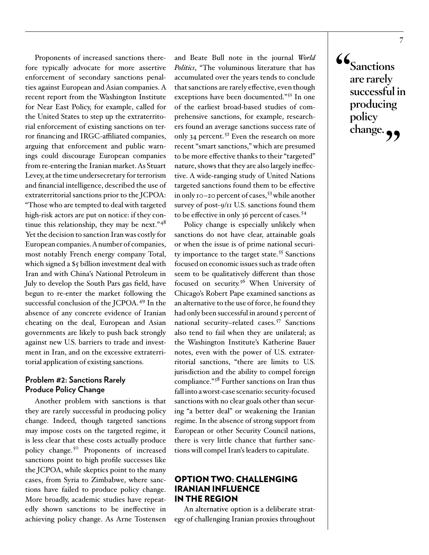Proponents of increased sanctions therefore typically advocate for more assertive enforcement of secondary sanctions penalties against European and Asian companies. A recent report from the Washington Institute for Near East Policy, for example, called for the United States to step up the extraterritorial enforcement of existing sanctions on terror financing and IRGC-affiliated companies, arguing that enforcement and public warnings could discourage European companies from re-entering the Iranian market. As Stuart Levey, at the time undersecretary for terrorism and financial intelligence, described the use of extraterritorial sanctions prior to the JCPOA: "Those who are tempted to deal with targeted high-risk actors are put on notice: if they continue this relationship, they may be next." $48$ Yet the decision to sanction Iran was costly for European companies. A number of companies, most notably French energy company Total, which signed a \$5 billion investment deal with Iran and with China's National Petroleum in July to develop the South Pars gas field, have begun to re-enter the market following the successful conclusion of the JCPOA.<sup>[49](#page-18-10)</sup> In the absence of any concrete evidence of Iranian cheating on the deal, European and Asian governments are likely to push back strongly against new U.S. barriers to trade and investment in Iran, and on the excessive extraterritorial application of existing sanctions.

#### **Problem #2: Sanctions Rarely Produce Policy Change**

Another problem with sanctions is that they are rarely successful in producing policy change. Indeed, though targeted sanctions may impose costs on the targeted regime, it is less clear that these costs actually produce policy change.[50](#page-18-11) Proponents of increased sanctions point to high profile successes like the JCPOA, while skeptics point to the many cases, from Syria to Zimbabwe, where sanctions have failed to produce policy change. More broadly, academic studies have repeatedly shown sanctions to be ineffective in achieving policy change. As Arne Tostensen and Beate Bull note in the journal *World Politics*, "The voluminous literature that has accumulated over the years tends to conclude that sanctions are rarely effective, even though exceptions have been documented."<sup>[51](#page-18-12)</sup> In one of the earliest broad-based studies of comprehensive sanctions, for example, researchers found an average sanctions success rate of only 34 percent. [52](#page-18-13) Even the research on more recent "smart sanctions," which are presumed to be more effective thanks to their "targeted" nature, shows that they are also largely ineffective. A wide-ranging study of United Nations targeted sanctions found them to be effective in only 10–20 percent of cases, [53](#page-18-14) while another survey of post-9/11 U.S. sanctions found them to be effective in only 36 percent of cases.[54](#page-19-0)

Policy change is especially unlikely when sanctions do not have clear, attainable goals or when the issue is of prime national security importance to the target state. [55](#page-19-1) Sanctions focused on economic issues such as trade often seem to be qualitatively different than those focused on security.<sup>[56](#page-19-2)</sup> When University of Chicago's Robert Pape examined sanctions as an alternative to the use of force, he found they had only been successful in around 5 percent of national security–related cases.[57](#page-19-3) Sanctions also tend to fail when they are unilateral; as the Washington Institute's Katherine Bauer notes, even with the power of U.S. extraterritorial sanctions, "there are limits to U.S. jurisdiction and the ability to compel foreign compliance." [58](#page-19-4) Further sanctions on Iran thus fall into a worst-case scenario: security-focused sanctions with no clear goals other than securing "a better deal" or weakening the Iranian regime. In the absence of strong support from European or other Security Council nations, there is very little chance that further sanctions will compel Iran's leaders to capitulate.

#### OPTION TWO: CHALLENGING IRANIAN INFLUENCE IN THE REGION

An alternative option is a deliberate strategy of challenging Iranian proxies throughout **"Sanctions are rarely successful in producing policy**  change.<sub>?</sub>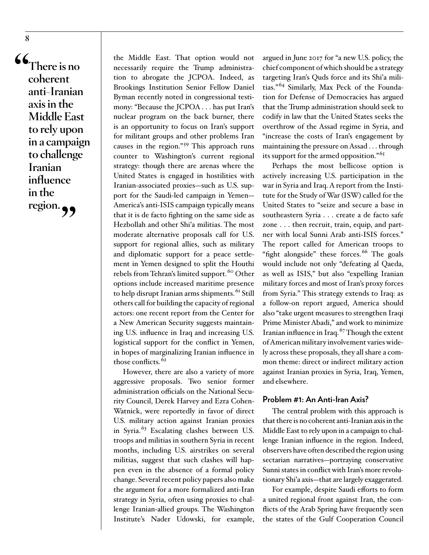**"There is no coherent anti-Iranian axis in the Middle East to rely upon in a campaign to challenge Iranian influence in the region."**

the Middle East. That option would not necessarily require the Trump administration to abrogate the JCPOA. Indeed, as Brookings Institution Senior Fellow Daniel Byman recently noted in congressional testimony: "Because the JCPOA . . . has put Iran's nuclear program on the back burner, there is an opportunity to focus on Iran's support for militant groups and other problems Iran causes in the region." [59](#page-19-5) This approach runs counter to Washington's current regional strategy: though there are arenas where the United States is engaged in hostilities with Iranian-associated proxies—such as U.S. support for the Saudi-led campaign in Yemen— America's anti-ISIS campaign typically means that it is de facto fighting on the same side as Hezbollah and other Shi'a militias. The most moderate alternative proposals call for U.S. support for regional allies, such as military and diplomatic support for a peace settlement in Yemen designed to split the Houthi rebels from Tehran's limited support. [60](#page-19-6) Other options include increased maritime presence to help disrupt Iranian arms shipments.[61](#page-19-7) Still others call for building the capacity of regional actors: one recent report from the Center for a New American Security suggests maintaining U.S. influence in Iraq and increasing U.S. logistical support for the conflict in Yemen, in hopes of marginalizing Iranian influence in those conflicts.<sup>[62](#page-19-8)</sup>

However, there are also a variety of more aggressive proposals. Two senior former administration officials on the National Security Council, Derek Harvey and Ezra Cohen-Watnick, were reportedly in favor of direct U.S. military action against Iranian proxies in Syria. [63](#page-19-9) Escalating clashes between U.S. troops and militias in southern Syria in recent months, including U.S. airstrikes on several militias, suggest that such clashes will happen even in the absence of a formal policy change. Several recent policy papers also make the argument for a more formalized anti-Iran strategy in Syria, often using proxies to challenge Iranian-allied groups. The Washington Institute's Nader Udowski, for example,

argued in June 2017 for "a new U.S. policy, the chief component of which should be a strategy targeting Iran's Quds force and its Shi'a militias."[64](#page-19-10) Similarly, Max Peck of the Foundation for Defense of Democracies has argued that the Trump administration should seek to codify in law that the United States seeks the overthrow of the Assad regime in Syria, and "increase the costs of Iran's engagement by maintaining the pressure on Assad . . . through its support for the armed opposition." [65](#page-19-11)

Perhaps the most bellicose option is actively increasing U.S. participation in the war in Syria and Iraq. A report from the Institute for the Study of War (ISW) called for the United States to "seize and secure a base in southeastern Syria . . . create a de facto safe zone . . . then recruit, train, equip, and partner with local Sunni Arab anti-ISIS forces." The report called for American troops to "fight alongside" these forces.<sup>66</sup> The goals would include not only "defeating al Qaeda, as well as ISIS," but also "expelling Iranian military forces and most of Iran's proxy forces from Syria." This strategy extends to Iraq: as a follow-on report argued, America should also "take urgent measures to strengthen Iraqi Prime Minister Abadi," and work to minimize Iranian influence in Iraq. [67](#page-19-13) Though the extent of American military involvement varies widely across these proposals, they all share a common theme: direct or indirect military action against Iranian proxies in Syria, Iraq, Yemen, and elsewhere.

#### **Problem #1: An Anti-Iran Axis?**

The central problem with this approach is that there is no coherent anti-Iranian axis in the Middle East to rely upon in a campaign to challenge Iranian influence in the region. Indeed, observers have often described the region using sectarian narratives—portraying conservative Sunni states in conflict with Iran's more revolutionary Shi'a axis—that are largely exaggerated.

For example, despite Saudi efforts to form a united regional front against Iran, the conflicts of the Arab Spring have frequently seen the states of the Gulf Cooperation Council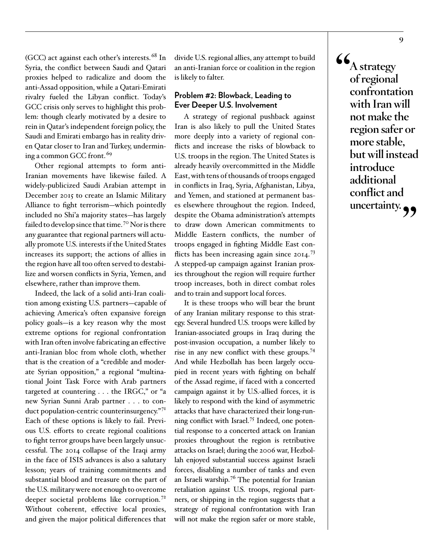(GCC) act against each other's interests.[68](#page-20-0) In Syria, the conflict between Saudi and Qatari proxies helped to radicalize and doom the anti-Assad opposition, while a Qatari-Emirati rivalry fueled the Libyan conflict. Today's GCC crisis only serves to highlight this problem: though clearly motivated by a desire to rein in Qatar's independent foreign policy, the Saudi and Emirati embargo has in reality driven Qatar closer to Iran and Turkey, undermining a common GCC front. [69](#page-20-1)

Other regional attempts to form anti-Iranian movements have likewise failed. A widely-publicized Saudi Arabian attempt in December 2015 to create an Islamic Military Alliance to fight terrorism—which pointedly included no Shi'a majority states—has largely failed to develop since that time. [70](#page-20-2) Nor is there any guarantee that regional partners will actually promote U.S. interests if the United States increases its support; the actions of allies in the region have all too often served to destabilize and worsen conflicts in Syria, Yemen, and elsewhere, rather than improve them.

Indeed, the lack of a solid anti-Iran coalition among existing U.S. partners—capable of achieving America's often expansive foreign policy goals—is a key reason why the most extreme options for regional confrontation with Iran often involve fabricating an effective anti-Iranian bloc from whole cloth, whether that is the creation of a "credible and moderate Syrian opposition," a regional "multinational Joint Task Force with Arab partners targeted at countering . . . the IRGC," or "a new Syrian Sunni Arab partner . . . to con-duct population-centric counterinsurgency."<sup>[71](#page-20-3)</sup> Each of these options is likely to fail. Previous U.S. efforts to create regional coalitions to fight terror groups have been largely unsuccessful. The 2014 collapse of the Iraqi army in the face of ISIS advances is also a salutary lesson; years of training commitments and substantial blood and treasure on the part of the U.S. military were not enough to overcome deeper societal problems like corruption. [72](#page-20-4) Without coherent, effective local proxies, and given the major political differences that

divide U.S. regional allies, any attempt to build an anti-Iranian force or coalition in the region is likely to falter.

#### **Problem #2: Blowback, Leading to Ever Deeper U.S. Involvement**

A strategy of regional pushback against Iran is also likely to pull the United States more deeply into a variety of regional conflicts and increase the risks of blowback to U.S. troops in the region. The United States is already heavily overcommitted in the Middle East, with tens of thousands of troops engaged in conflicts in Iraq, Syria, Afghanistan, Libya, and Yemen, and stationed at permanent bases elsewhere throughout the region. Indeed, despite the Obama administration's attempts to draw down American commitments to Middle Eastern conflicts, the number of troops engaged in fighting Middle East con-flicts has been increasing again since 2014.<sup>[73](#page-20-5)</sup> A stepped-up campaign against Iranian proxies throughout the region will require further troop increases, both in direct combat roles and to train and support local forces.

It is these troops who will bear the brunt of any Iranian military response to this strategy. Several hundred U.S. troops were killed by Iranian-associated groups in Iraq during the post-invasion occupation, a number likely to rise in any new conflict with these groups. [74](#page-20-6) And while Hezbollah has been largely occupied in recent years with fighting on behalf of the Assad regime, if faced with a concerted campaign against it by U.S.-allied forces, it is likely to respond with the kind of asymmetric attacks that have characterized their long-running conflict with Israel. [75](#page-20-7) Indeed, one potential response to a concerted attack on Iranian proxies throughout the region is retributive attacks on Israel; during the 2006 war, Hezbollah enjoyed substantial success against Israeli forces, disabling a number of tanks and even an Israeli warship. [76](#page-20-8) The potential for Iranian retaliation against U.S. troops, regional partners, or shipping in the region suggests that a strategy of regional confrontation with Iran will not make the region safer or more stable,

**"A strategy of regional confrontation with Iran will not make the region safer or more stable, but will instead introduce additional conflict and**  uncertainty.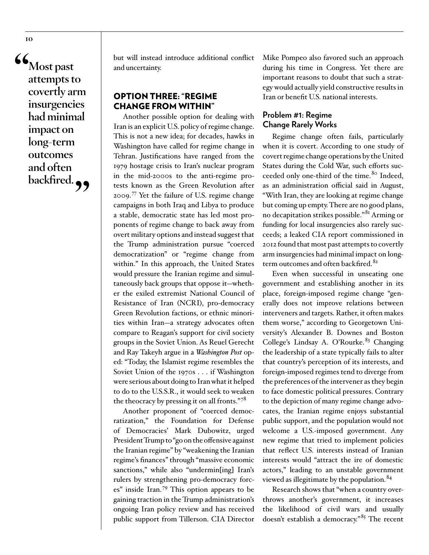**"Most past attempts to covertly arm insurgencies had minimal impact on long-term outcomes and often**  backfired.<sup>99</sup> but will instead introduce additional conflict and uncertainty.

#### OPTION THREE: "REGIME CHANGE FROM WITHIN"

Another possible option for dealing with Iran is an explicit U.S. policy of regime change. This is not a new idea; for decades, hawks in Washington have called for regime change in Tehran. Justifications have ranged from the 1979 hostage crisis to Iran's nuclear program in the mid-2000s to the anti-regime protests known as the Green Revolution after 2009. [77](#page-20-9) Yet the failure of U.S. regime change campaigns in both Iraq and Libya to produce a stable, democratic state has led most proponents of regime change to back away from overt military options and instead suggest that the Trump administration pursue "coerced democratization" or "regime change from within." In this approach, the United States would pressure the Iranian regime and simultaneously back groups that oppose it—whether the exiled extremist National Council of Resistance of Iran (NCRI), pro-democracy Green Revolution factions, or ethnic minorities within Iran—a strategy advocates often compare to Reagan's support for civil society groups in the Soviet Union. As Reuel Gerecht and Ray Takeyh argue in a *Washington Post* oped: "Today, the Islamist regime resembles the Soviet Union of the 1970s . . . if Washington were serious about doing to Iran what it helped to do to the U.S.S.R., it would seek to weaken the theocracy by pressing it on all fronts."[78](#page-20-10)

Another proponent of "coerced democratization," the Foundation for Defense of Democracies' Mark Dubowitz, urged President Trump to "go on the offensive against the Iranian regime" by "weakening the Iranian regime's finances" through "massive economic sanctions," while also "undermin[ing] Iran's rulers by strengthening pro-democracy forces" inside Iran. [79](#page-20-11) This option appears to be gaining traction in the Trump administration's ongoing Iran policy review and has received public support from Tillerson. CIA Director

Mike Pompeo also favored such an approach during his time in Congress. Yet there are important reasons to doubt that such a strategy would actually yield constructive results in Iran or benefit U.S. national interests.

#### **Problem #1: Regime Change Rarely Works**

Regime change often fails, particularly when it is covert. According to one study of covert regime change operations by the United States during the Cold War, such efforts succeeded only one-third of the time.<sup>80</sup> Indeed, as an administration official said in August, "With Iran, they are looking at regime change but coming up empty. There are no good plans, no decapitation strikes possible."[81](#page-20-13) Arming or funding for local insurgencies also rarely succeeds; a leaked CIA report commissioned in 2012 found that most past attempts to covertly arm insurgencies had minimal impact on long-term outcomes and often backfired.<sup>[82](#page-21-0)</sup>

Even when successful in unseating one government and establishing another in its place, foreign-imposed regime change "generally does not improve relations between interveners and targets. Rather, it often makes them worse," according to Georgetown University's Alexander B. Downes and Boston College's Lindsay A. O'Rourke.<sup>[83](#page-21-1)</sup> Changing the leadership of a state typically fails to alter that country's perception of its interests, and foreign-imposed regimes tend to diverge from the preferences of the intervener as they begin to face domestic political pressures. Contrary to the depiction of many regime change advocates, the Iranian regime enjoys substantial public support, and the population would not welcome a U.S.-imposed government. Any new regime that tried to implement policies that reflect U.S. interests instead of Iranian interests would "attract the ire of domestic actors," leading to an unstable government viewed as illegitimate by the population. [84](#page-21-2)

Research shows that "when a country overthrows another's government, it increases the likelihood of civil wars and usually doesn't establish a democracy."<sup>[85](#page-21-3)</sup> The recent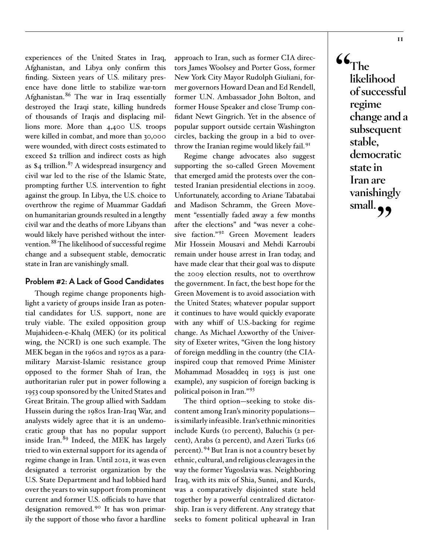experiences of the United States in Iraq, Afghanistan, and Libya only confirm this finding. Sixteen years of U.S. military presence have done little to stabilize war-torn Afghanistan.[86](#page-21-4) The war in Iraq essentially destroyed the Iraqi state, killing hundreds of thousands of Iraqis and displacing millions more. More than 4,400 U.S. troops were killed in combat, and more than 30,000 were wounded, with direct costs estimated to exceed \$2 trillion and indirect costs as high as  $$4$  trillion.<sup>[87](#page-21-5)</sup> A widespread insurgency and civil war led to the rise of the Islamic State, prompting further U.S. intervention to fight against the group. In Libya, the U.S. choice to overthrow the regime of Muammar Gaddafi on humanitarian grounds resulted in a lengthy civil war and the deaths of more Libyans than would likely have perished without the intervention.[88](#page-21-6) The likelihood of successful regime change and a subsequent stable, democratic state in Iran are vanishingly small.

#### **Problem #2: A Lack of Good Candidates**

Though regime change proponents highlight a variety of groups inside Iran as potential candidates for U.S. support, none are truly viable. The exiled opposition group Mujahideen-e-Khalq (MEK) (or its political wing, the NCRI) is one such example. The MEK began in the 1960s and 1970s as a paramilitary Marxist-Islamic resistance group opposed to the former Shah of Iran, the authoritarian ruler put in power following a 1953 coup sponsored by the United States and Great Britain. The group allied with Saddam Hussein during the 1980s Iran-Iraq War, and analysts widely agree that it is an undemocratic group that has no popular support inside Iran. [89](#page-21-7) Indeed, the MEK has largely tried to win external support for its agenda of regime change in Iran. Until 2012, it was even designated a terrorist organization by the U.S. State Department and had lobbied hard over the years to win support from prominent current and former U.S. officials to have that designation removed. [90](#page-21-8) It has won primarily the support of those who favor a hardline approach to Iran, such as former CIA directors James Woolsey and Porter Goss, former New York City Mayor Rudolph Giuliani, former governors Howard Dean and Ed Rendell, former U.N. Ambassador John Bolton, and former House Speaker and close Trump confidant Newt Gingrich. Yet in the absence of popular support outside certain Washington circles, backing the group in a bid to overthrow the Iranian regime would likely fail. [91](#page-21-9)

Regime change advocates also suggest supporting the so-called Green Movement that emerged amid the protests over the contested Iranian presidential elections in 2009. Unfortunately, according to Ariane Tabatabai and Madison Schramm, the Green Movement "essentially faded away a few months after the elections" and "was never a cohesive faction." [92](#page-21-10) Green Movement leaders Mir Hossein Mousavi and Mehdi Karroubi remain under house arrest in Iran today, and have made clear that their goal was to dispute the 2009 election results, not to overthrow the government. In fact, the best hope for the Green Movement is to avoid association with the United States; whatever popular support it continues to have would quickly evaporate with any whiff of U.S.-backing for regime change. As Michael Axworthy of the University of Exeter writes, "Given the long history of foreign meddling in the country (the CIAinspired coup that removed Prime Minister Mohammad Mosaddeq in 1953 is just one example), any suspicion of foreign backing is political poison in Iran." [93](#page-21-11)

The third option—seeking to stoke discontent among Iran's minority populations is similarly infeasible. Iran's ethnic minorities include Kurds (10 percent), Baluchis (2 percent), Arabs (2 percent), and Azeri Turks (16 percent). [94](#page-21-12) But Iran is not a country beset by ethnic, cultural, and religious cleavages in the way the former Yugoslavia was. Neighboring Iraq, with its mix of Shia, Sunni, and Kurds, was a comparatively disjointed state held together by a powerful centralized dictatorship. Iran is very different. Any strategy that seeks to foment political upheaval in Iran

**"The likelihood of successful regime change and a subsequent stable, democratic state in Iran are vanishingly**  small.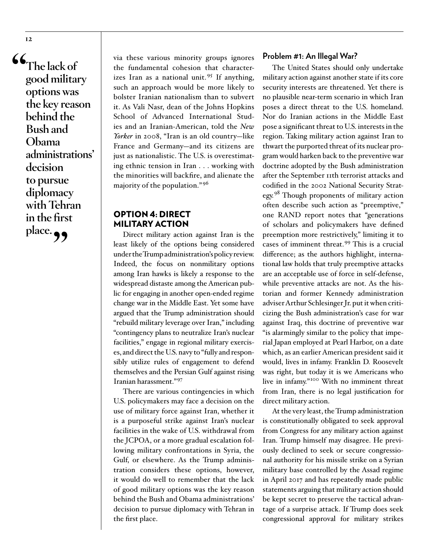**"The lack of good military options was the key reason behind the Bush and Obama administrations' decision to pursue diplomacy with Tehran in the first**  place.

**12**

via these various minority groups ignores the fundamental cohesion that characterizes Iran as a national unit. [95](#page-21-13) If anything, such an approach would be more likely to bolster Iranian nationalism than to subvert it. As Vali Nasr, dean of the Johns Hopkins School of Advanced International Studies and an Iranian-American, told the *New Yorker* in 2008, "Iran is an old country—like France and Germany—and its citizens are just as nationalistic. The U.S. is overestimating ethnic tension in Iran . . . working with the minorities will backfire, and alienate the majority of the population." [96](#page-21-14)

#### OPTION 4: DIRECT MILITARY ACTION

Direct military action against Iran is the least likely of the options being considered under the Trump administration's policy review. Indeed, the focus on nonmilitary options among Iran hawks is likely a response to the widespread distaste among the American public for engaging in another open-ended regime change war in the Middle East. Yet some have argued that the Trump administration should "rebuild military leverage over Iran," including "contingency plans to neutralize Iran's nuclear facilities," engage in regional military exercises, and direct the U.S. navy to "fully and responsibly utilize rules of engagement to defend themselves and the Persian Gulf against rising Iranian harassment."[97](#page-21-15)

There are various contingencies in which U.S. policymakers may face a decision on the use of military force against Iran, whether it is a purposeful strike against Iran's nuclear facilities in the wake of U.S. withdrawal from the JCPOA, or a more gradual escalation following military confrontations in Syria, the Gulf, or elsewhere. As the Trump administration considers these options, however, it would do well to remember that the lack of good military options was the key reason behind the Bush and Obama administrations' decision to pursue diplomacy with Tehran in the first place.

#### **Problem #1: An Illegal War?**

The United States should only undertake military action against another state if its core security interests are threatened. Yet there is no plausible near-term scenario in which Iran poses a direct threat to the U.S. homeland. Nor do Iranian actions in the Middle East pose a significant threat to U.S. interests in the region. Taking military action against Iran to thwart the purported threat of its nuclear program would harken back to the preventive war doctrine adopted by the Bush administration after the September 11th terrorist attacks and codified in the 2002 National Security Strat-egy.<sup>[98](#page-21-16)</sup> Though proponents of military action often describe such action as "preemptive," one RAND report notes that "generations of scholars and policymakers have defined preemption more restrictively," limiting it to cases of imminent threat. [99](#page-21-17) This is a crucial difference; as the authors highlight, international law holds that truly preemptive attacks are an acceptable use of force in self-defense, while preventive attacks are not. As the historian and former Kennedy administration adviser Arthur Schlesinger Jr. put it when criticizing the Bush administration's case for war against Iraq, this doctrine of preventive war "is alarmingly similar to the policy that imperial Japan employed at Pearl Harbor, on a date which, as an earlier American president said it would, lives in infamy. Franklin D. Roosevelt was right, but today it is we Americans who live in infamy."<sup>100</sup> With no imminent threat from Iran, there is no legal justification for direct military action.

At the very least, the Trump administration is constitutionally obligated to seek approval from Congress for any military action against Iran. Trump himself may disagree. He previously declined to seek or secure congressional authority for his missile strike on a Syrian military base controlled by the Assad regime in April 2017 and has repeatedly made public statements arguing that military action should be kept secret to preserve the tactical advantage of a surprise attack. If Trump does seek congressional approval for military strikes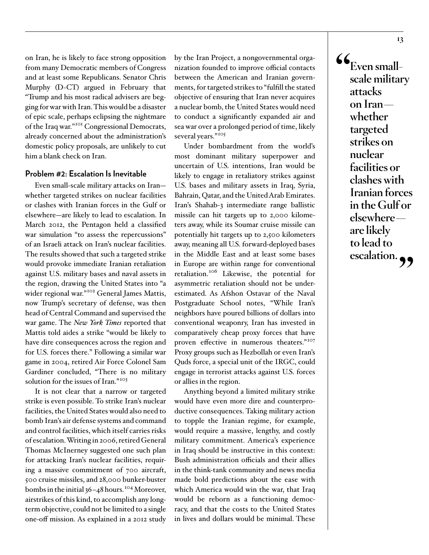on Iran, he is likely to face strong opposition from many Democratic members of Congress and at least some Republicans. Senator Chris Murphy (D-CT) argued in February that "Trump and his most radical advisers are begging for war with Iran. This would be a disaster of epic scale, perhaps eclipsing the nightmare of the Iraq war." [101](#page-22-1) Congressional Democrats, already concerned about the administration's domestic policy proposals, are unlikely to cut him a blank check on Iran.

#### **Problem #2: Escalation Is Inevitable**

Even small-scale military attacks on Iran whether targeted strikes on nuclear facilities or clashes with Iranian forces in the Gulf or elsewhere—are likely to lead to escalation. In March 2012, the Pentagon held a classified war simulation "to assess the repercussions" of an Israeli attack on Iran's nuclear facilities. The results showed that such a targeted strike would provoke immediate Iranian retaliation against U.S. military bases and naval assets in the region, drawing the United States into "a wider regional war."<sup>102</sup> General James Mattis, now Trump's secretary of defense, was then head of Central Command and supervised the war game. The *New York Times* reported that Mattis told aides a strike "would be likely to have dire consequences across the region and for U.S. forces there." Following a similar war game in 2004, retired Air Force Colonel Sam Gardiner concluded, "There is no military solution for the issues of Iran."<sup>[103](#page-22-3)</sup>

It is not clear that a narrow or targeted strike is even possible. To strike Iran's nuclear facilities, the United States would also need to bomb Iran's air defense systems and command and control facilities, which itself carries risks of escalation. Writing in 2006, retired General Thomas McInerney suggested one such plan for attacking Iran's nuclear facilities, requiring a massive commitment of 700 aircraft, 500 cruise missiles, and 28,000 bunker-buster bombs in the initial 36–48 hours. [104](#page-22-4) Moreover, airstrikes of this kind, to accomplish any longterm objective, could not be limited to a single one-off mission. As explained in a 2012 study by the Iran Project, a nongovernmental organization founded to improve official contacts between the American and Iranian governments, for targeted strikes to "fulfill the stated objective of ensuring that Iran never acquires a nuclear bomb, the United States would need to conduct a significantly expanded air and sea war over a prolonged period of time, likely several years."<sup>[105](#page-22-5)</sup>

Under bombardment from the world's most dominant military superpower and uncertain of U.S. intentions, Iran would be likely to engage in retaliatory strikes against U.S. bases and military assets in Iraq, Syria, Bahrain, Qatar, and the United Arab Emirates. Iran's Shahab-3 intermediate range ballistic missile can hit targets up to 2,000 kilometers away, while its Soumar cruise missile can potentially hit targets up to 2,500 kilometers away, meaning all U.S. forward-deployed bases in the Middle East and at least some bases in Europe are within range for conventional retaliation.<sup>[106](#page-22-6)</sup> Likewise, the potential for asymmetric retaliation should not be underestimated. As Afshon Ostavar of the Naval Postgraduate School notes, "While Iran's neighbors have poured billions of dollars into conventional weaponry, Iran has invested in comparatively cheap proxy forces that have proven effective in numerous theaters."<sup>[107](#page-22-7)</sup> Proxy groups such as Hezbollah or even Iran's Quds force, a special unit of the IRGC, could engage in terrorist attacks against U.S. forces or allies in the region.

Anything beyond a limited military strike would have even more dire and counterproductive consequences. Taking military action to topple the Iranian regime, for example, would require a massive, lengthy, and costly military commitment. America's experience in Iraq should be instructive in this context: Bush administration officials and their allies in the think-tank community and news media made bold predictions about the ease with which America would win the war, that Iraq would be reborn as a functioning democracy, and that the costs to the United States in lives and dollars would be minimal. These

 $\mathcal{C}_{\text{Even small}}$ **scale military attacks on Iran whether targeted strikes on nuclear facilities or clashes with Iranian forces in the Gulf or elsewhere are likely to lead to escalation."**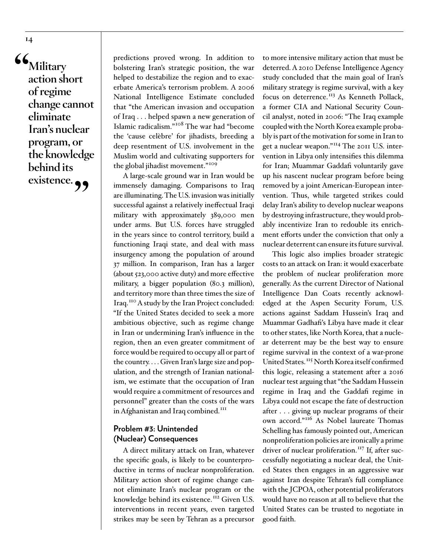**"Military action short of regime change cannot eliminate Iran's nuclear program, or the knowledge behind its existence."**

predictions proved wrong. In addition to bolstering Iran's strategic position, the war helped to destabilize the region and to exacerbate America's terrorism problem. A 2006 National Intelligence Estimate concluded that "the American invasion and occupation of Iraq . . . helped spawn a new generation of Islamic radicalism." [108](#page-22-8) The war had "become the 'cause celèbre' for jihadists, breeding a deep resentment of U.S. involvement in the Muslim world and cultivating supporters for the global jihadist movement." [109](#page-22-9)

A large-scale ground war in Iran would be immensely damaging. Comparisons to Iraq are illuminating. The U.S. invasion was initially successful against a relatively ineffectual Iraqi military with approximately 389,000 men under arms. But U.S. forces have struggled in the years since to control territory, build a functioning Iraqi state, and deal with mass insurgency among the population of around 37 million. In comparison, Iran has a larger (about 523,000 active duty) and more effective military, a bigger population (80.3 million), and territory more than three times the size of Iraq. [110](#page-22-10) A study by the Iran Project concluded: "If the United States decided to seek a more ambitious objective, such as regime change in Iran or undermining Iran's influence in the region, then an even greater commitment of force would be required to occupy all or part of the country. . . . Given Iran's large size and population, and the strength of Iranian nationalism, we estimate that the occupation of Iran would require a commitment of resources and personnel" greater than the costs of the wars in Afghanistan and Iraq combined.<sup>III</sup>

#### **Problem #3: Unintended (Nuclear) Consequences**

A direct military attack on Iran, whatever the specific goals, is likely to be counterproductive in terms of nuclear nonproliferation. Military action short of regime change cannot eliminate Iran's nuclear program or the knowledge behind its existence.<sup>II2</sup> Given U.S. interventions in recent years, even targeted strikes may be seen by Tehran as a precursor

to more intensive military action that must be deterred. A 2010 Defense Intelligence Agency study concluded that the main goal of Iran's military strategy is regime survival, with a key focus on deterrence.<sup>113</sup> As Kenneth Pollack, a former CIA and National Security Council analyst, noted in 2006: "The Iraq example coupled with the North Korea example probably is part of the motivation for some in Iran to get a nuclear weapon."[114](#page-22-14) The 2011 U.S. intervention in Libya only intensifies this dilemma for Iran; Muammar Gaddafi voluntarily gave up his nascent nuclear program before being removed by a joint American-European intervention. Thus, while targeted strikes could delay Iran's ability to develop nuclear weapons by destroying infrastructure, they would probably incentivize Iran to redouble its enrichment efforts under the conviction that only a nuclear deterrent can ensure its future survival.

This logic also implies broader strategic costs to an attack on Iran: it would exacerbate the problem of nuclear proliferation more generally. As the current Director of National Intelligence Dan Coats recently acknowledged at the Aspen Security Forum, U.S. actions against Saddam Hussein's Iraq and Muammar Gadhafi's Libya have made it clear to other states, like North Korea, that a nuclear deterrent may be the best way to ensure regime survival in the context of a war-prone United States. [115](#page-22-15) North Korea itself confirmed this logic, releasing a statement after a 2016 nuclear test arguing that "the Saddam Hussein regime in Iraq and the Gaddafi regime in Libya could not escape the fate of destruction after . . . giving up nuclear programs of their own accord." [116](#page-22-16) As Nobel laureate Thomas Schelling has famously pointed out, American nonproliferation policies are ironically a prime driver of nuclear proliferation.<sup>117</sup> If, after successfully negotiating a nuclear deal, the United States then engages in an aggressive war against Iran despite Tehran's full compliance with the JCPOA, other potential proliferators would have no reason at all to believe that the United States can be trusted to negotiate in good faith.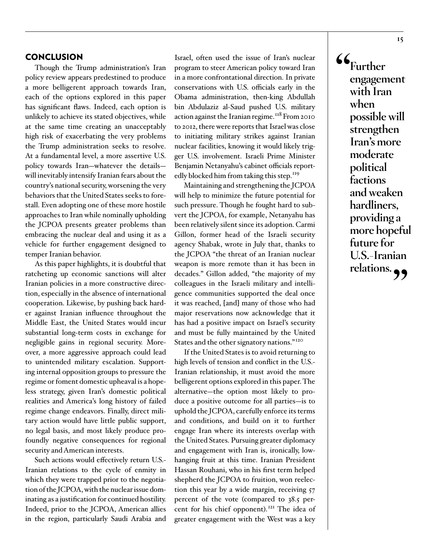#### **CONCLUSION**

Though the Trump administration's Iran policy review appears predestined to produce a more belligerent approach towards Iran, each of the options explored in this paper has significant flaws. Indeed, each option is unlikely to achieve its stated objectives, while at the same time creating an unacceptably high risk of exacerbating the very problems the Trump administration seeks to resolve. At a fundamental level, a more assertive U.S. policy towards Iran—whatever the details will inevitably intensify Iranian fears about the country's national security, worsening the very behaviors that the United States seeks to forestall. Even adopting one of these more hostile approaches to Iran while nominally upholding the JCPOA presents greater problems than embracing the nuclear deal and using it as a vehicle for further engagement designed to temper Iranian behavior.

As this paper highlights, it is doubtful that ratcheting up economic sanctions will alter Iranian policies in a more constructive direction, especially in the absence of international cooperation. Likewise, by pushing back harder against Iranian influence throughout the Middle East, the United States would incur substantial long-term costs in exchange for negligible gains in regional security. Moreover, a more aggressive approach could lead to unintended military escalation. Supporting internal opposition groups to pressure the regime or foment domestic upheaval is a hopeless strategy, given Iran's domestic political realities and America's long history of failed regime change endeavors. Finally, direct military action would have little public support, no legal basis, and most likely produce profoundly negative consequences for regional security and American interests.

Such actions would effectively return U.S.- Iranian relations to the cycle of enmity in which they were trapped prior to the negotiation of the JCPOA, with the nuclear issue dominating as a justification for continued hostility. Indeed, prior to the JCPOA, American allies in the region, particularly Saudi Arabia and

Israel, often used the issue of Iran's nuclear program to steer American policy toward Iran in a more confrontational direction. In private conservations with U.S. officials early in the Obama administration, then-king Abdullah bin Abdulaziz al-Saud pushed U.S. military action against the Iranian regime.<sup>[118](#page-22-18)</sup> From 2010 to 2012, there were reports that Israel was close to initiating military strikes against Iranian nuclear facilities, knowing it would likely trigger U.S. involvement. Israeli Prime Minister Benjamin Netanyahu's cabinet officials reportedly blocked him from taking this step.<sup>119</sup>

Maintaining and strengthening the JCPOA will help to minimize the future potential for such pressure. Though he fought hard to subvert the JCPOA, for example, Netanyahu has been relatively silent since its adoption. Carmi Gillon, former head of the Israeli security agency Shabak, wrote in July that, thanks to the JCPOA "the threat of an Iranian nuclear weapon is more remote than it has been in decades." Gillon added, "the majority of my colleagues in the Israeli military and intelligence communities supported the deal once it was reached, [and] many of those who had major reservations now acknowledge that it has had a positive impact on Israel's security and must be fully maintained by the United States and the other signatory nations."<sup>[120](#page-23-1)</sup>

If the United States is to avoid returning to high levels of tension and conflict in the U.S.- Iranian relationship, it must avoid the more belligerent options explored in this paper. The alternative—the option most likely to produce a positive outcome for all parties—is to uphold the JCPOA, carefully enforce its terms and conditions, and build on it to further engage Iran where its interests overlap with the United States. Pursuing greater diplomacy and engagement with Iran is, ironically, lowhanging fruit at this time. Iranian President Hassan Rouhani, who in his first term helped shepherd the JCPOA to fruition, won reelection this year by a wide margin, receiving 57 percent of the vote (compared to 38.5 percent for his chief opponent). [121](#page-23-2) The idea of greater engagement with the West was a key

**"Further engagement with Iran when possible will strengthen Iran's more moderate political factions and weaken hardliners, providing a more hopeful future for U.S.-Iranian relations."**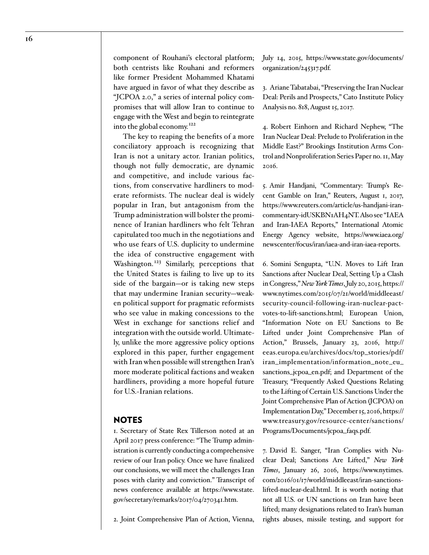component of Rouhani's electoral platform; both centrists like Rouhani and reformers like former President Mohammed Khatami have argued in favor of what they describe as "JCPOA 2.0," a series of internal policy compromises that will allow Iran to continue to engage with the West and begin to reintegrate into the global economy.[122](#page-23-3)

The key to reaping the benefits of a more conciliatory approach is recognizing that Iran is not a unitary actor. Iranian politics, though not fully democratic, are dynamic and competitive, and include various factions, from conservative hardliners to moderate reformists. The nuclear deal is widely popular in Iran, but antagonism from the Trump administration will bolster the prominence of Iranian hardliners who felt Tehran capitulated too much in the negotiations and who use fears of U.S. duplicity to undermine the idea of constructive engagement with Washington.<sup>[123](#page-23-4)</sup> Similarly, perceptions that the United States is failing to live up to its side of the bargain—or is taking new steps that may undermine Iranian security—weaken political support for pragmatic reformists who see value in making concessions to the West in exchange for sanctions relief and integration with the outside world. Ultimately, unlike the more aggressive policy options explored in this paper, further engagement with Iran when possible will strengthen Iran's more moderate political factions and weaken hardliners, providing a more hopeful future for U.S.-Iranian relations.

#### **NOTES**

<span id="page-15-0"></span>1. Secretary of State Rex Tillerson noted at an April 2017 press conference: "The Trump administration is currently conducting a comprehensive review of our Iran policy. Once we have finalized our conclusions, we will meet the challenges Iran poses with clarity and conviction." Transcript of news conference available at [https://www.state.](https://www.state.gov/secretary/remarks/2017/04/270341.htm) [gov/secretary/remarks/2017/04/270341.htm.](https://www.state.gov/secretary/remarks/2017/04/270341.htm)

<span id="page-15-1"></span>2. Joint Comprehensive Plan of Action, Vienna,

July 14, 2015, [https://www.state.gov/documents/](https://www.state.gov/documents/organization/245317.pdf) [organization/245317.pdf](https://www.state.gov/documents/organization/245317.pdf).

<span id="page-15-2"></span>3. Ariane Tabatabai, "Preserving the Iran Nuclear Deal: Perils and Prospects," Cato Institute Policy Analysis no. 818, August 15, 2017.

<span id="page-15-3"></span>4. Robert Einhorn and Richard Nephew, "The Iran Nuclear Deal: Prelude to Proliferation in the Middle East?" Brookings Institution Arms Control and Nonproliferation Series Paper no. 11, May 2016.

<span id="page-15-4"></span>5. Amir Handjani, "Commentary: Trump's Recent Gamble on Iran," Reuters, August 1, 2017, [https://www.reuters.com/article/us-handjani-iran](https://www.reuters.com/article/us-handjani-iran-commentary-idUSKBN1AH4NT)[commentary-idUSKBN1AH4NT.](https://www.reuters.com/article/us-handjani-iran-commentary-idUSKBN1AH4NT) Also see "IAEA and Iran-IAEA Reports," International Atomic Energy Agency website, [https://www.iaea.org/](https://www.iaea.org/newscenter/focus/iran/iaea-and-iran-iaea-reports) [newscenter/focus/iran/iaea-and-iran-iaea-reports](https://www.iaea.org/newscenter/focus/iran/iaea-and-iran-iaea-reports).

<span id="page-15-5"></span>6. Somini Sengupta, "U.N. Moves to Lift Iran Sanctions after Nuclear Deal, Setting Up a Clash in Congress," *New York Times*, July 20, 2015, [https://](https://www.nytimes.com/2015/07/21/world/middleeast/security-council-following-iran-nuclear-pact-votes-to-lift-sanctions.html) [www.nytimes.com/2015/07/21/world/middleeast/](https://www.nytimes.com/2015/07/21/world/middleeast/security-council-following-iran-nuclear-pact-votes-to-lift-sanctions.html) [security-council-following-iran-nuclear-pact](https://www.nytimes.com/2015/07/21/world/middleeast/security-council-following-iran-nuclear-pact-votes-to-lift-sanctions.html)[votes-to-lift-sanctions.html](https://www.nytimes.com/2015/07/21/world/middleeast/security-council-following-iran-nuclear-pact-votes-to-lift-sanctions.html); European Union, "Information Note on EU Sanctions to Be Lifted under Joint Comprehensive Plan of Action," Brussels, January 23, 2016, [http://](http://eeas.europa.eu/archives/docs/top_stories/pdf/iran_implementation/information_note_eu_sanctions_jcpoa_en.pdf) [eeas.europa.eu/archives/docs/top\\_stories/pdf/](http://eeas.europa.eu/archives/docs/top_stories/pdf/iran_implementation/information_note_eu_sanctions_jcpoa_en.pdf) [iran\\_implementation/information\\_note\\_eu\\_](http://eeas.europa.eu/archives/docs/top_stories/pdf/iran_implementation/information_note_eu_sanctions_jcpoa_en.pdf) [sanctions\\_jcpoa\\_en.pdf](http://eeas.europa.eu/archives/docs/top_stories/pdf/iran_implementation/information_note_eu_sanctions_jcpoa_en.pdf); and Department of the Treasury, "Frequently Asked Questions Relating to the Lifting of Certain U.S. Sanctions Under the Joint Comprehensive Plan of Action (JCPOA) on Implementation Day," December 15, 2016, [https://](https://www.treasury.gov/resource-center/sanctions/Programs/Documents/jcpoa_faqs.pdf) [www.treasury.gov/resource-center/sanctions/](https://www.treasury.gov/resource-center/sanctions/Programs/Documents/jcpoa_faqs.pdf) [Programs/Documents/jcpoa\\_faqs.pdf](https://www.treasury.gov/resource-center/sanctions/Programs/Documents/jcpoa_faqs.pdf).

<span id="page-15-6"></span>7. David E. Sanger, "Iran Complies with Nuclear Deal; Sanctions Are Lifted," *New York Times*, January 26, 2016, [https://www.nytimes.](https://www.nytimes.com/2016/01/17/world/middleeast/iran-sanctions-lifted-nuclear-deal.html) [com/2016/01/17/world/middleeast/iran-sanctions](https://www.nytimes.com/2016/01/17/world/middleeast/iran-sanctions-lifted-nuclear-deal.html)[lifted-nuclear-deal.html](https://www.nytimes.com/2016/01/17/world/middleeast/iran-sanctions-lifted-nuclear-deal.html). It is worth noting that not all U.S. or UN sanctions on Iran have been lifted; many designations related to Iran's human rights abuses, missile testing, and support for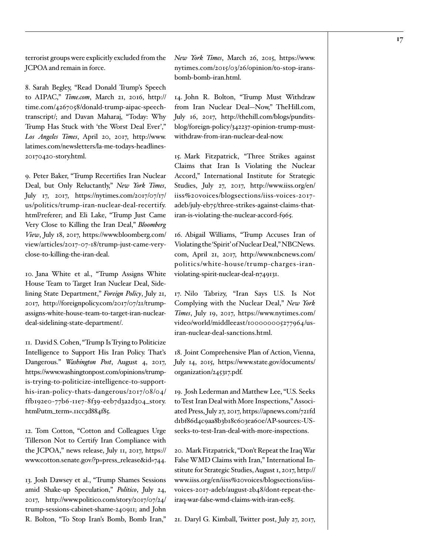terrorist groups were explicitly excluded from the JCPOA and remain in force.

<span id="page-16-0"></span>8. Sarah Begley, "Read Donald Trump's Speech to AIPAC," *Time.com*, March 21, 2016, [http://](http://time.com/4267058/donald-trump-aipac-speech-transcript/) [time.com/4267058/donald-trump-aipac-speech](http://time.com/4267058/donald-trump-aipac-speech-transcript/)[transcript/](http://time.com/4267058/donald-trump-aipac-speech-transcript/); and Davan Maharaj, "Today: Why Trump Has Stuck with 'the Worst Deal Ever'," *Los Angeles Times*, April 20, 2017, [http://www.](http://www.latimes.com/newsletters/la-me-todays-headlines-20170420-story.html) [latimes.com/newsletters/la-me-todays-headlines-](http://www.latimes.com/newsletters/la-me-todays-headlines-20170420-story.html)[20170420-story.html.](http://www.latimes.com/newsletters/la-me-todays-headlines-20170420-story.html)

<span id="page-16-1"></span>9. Peter Baker, "Trump Recertifies Iran Nuclear Deal, but Only Reluctantly," *New York Times*, July 17, 2017, [https://nytimes.com/2017/07/17/](https://nytimes.com/2017/07/17/us/politics/trump-iran-nuclear-deal-recertify.html?referer) [us/politics/trump-iran-nuclear-deal-recertify.](https://nytimes.com/2017/07/17/us/politics/trump-iran-nuclear-deal-recertify.html?referer) [html?referer;](https://nytimes.com/2017/07/17/us/politics/trump-iran-nuclear-deal-recertify.html?referer) and Eli Lake, "Trump Just Came Very Close to Killing the Iran Deal," *Bloomberg View*, July 18, 2017, [https://www.bloomberg.com/](https://www.bloomberg.com/view/articles/2017-07-18/trump-just-came-very-close-to-killing-the-iran-deal) [view/articles/2017-07-18/trump-just-came-very](https://www.bloomberg.com/view/articles/2017-07-18/trump-just-came-very-close-to-killing-the-iran-deal)[close-to-killing-the-iran-deal.](https://www.bloomberg.com/view/articles/2017-07-18/trump-just-came-very-close-to-killing-the-iran-deal)

<span id="page-16-2"></span>10. Jana White et al., "Trump Assigns White House Team to Target Iran Nuclear Deal, Sidelining State Department," *Foreign Policy*, July 21, 2017, [http://foreignpolicy.com/2017/07/21/trump](http://foreignpolicy.com/2017/07/21/trump-assigns-white-house-team-to-target-iran-nuclear-deal-sidelining-state-department/)[assigns-white-house-team-to-target-iran-nuclear](http://foreignpolicy.com/2017/07/21/trump-assigns-white-house-team-to-target-iran-nuclear-deal-sidelining-state-department/)[deal-sidelining-state-department/](http://foreignpolicy.com/2017/07/21/trump-assigns-white-house-team-to-target-iran-nuclear-deal-sidelining-state-department/).

<span id="page-16-3"></span>11. David S. Cohen, "Trump Is Trying to Politicize Intelligence to Support His Iran Policy. That's Dangerous." *Washington Post*, August 4, 2017, [https://www.washingtonpost.com/opinions/trump](https://www.washingtonpost.com/opinions/trump-is-trying-to-politicize-intelligence-to-support-his-iran-policy-thats-dangerous/2017/08/04/ffb192e0-77b6-11e7-8f39-eeb7d3a2d304_story.html?utm_term=.11cc3d884f85)[is-trying-to-politicize-intelligence-to-support](https://www.washingtonpost.com/opinions/trump-is-trying-to-politicize-intelligence-to-support-his-iran-policy-thats-dangerous/2017/08/04/ffb192e0-77b6-11e7-8f39-eeb7d3a2d304_story.html?utm_term=.11cc3d884f85)[his-iran-policy-thats-dangerous/2017/08/04/](https://www.washingtonpost.com/opinions/trump-is-trying-to-politicize-intelligence-to-support-his-iran-policy-thats-dangerous/2017/08/04/ffb192e0-77b6-11e7-8f39-eeb7d3a2d304_story.html?utm_term=.11cc3d884f85) [ffb192e0-77b6-11e7-8f39-eeb7d3a2d304\\_story.](https://www.washingtonpost.com/opinions/trump-is-trying-to-politicize-intelligence-to-support-his-iran-policy-thats-dangerous/2017/08/04/ffb192e0-77b6-11e7-8f39-eeb7d3a2d304_story.html?utm_term=.11cc3d884f85) [html?utm\\_term=.11cc3d884f85](https://www.washingtonpost.com/opinions/trump-is-trying-to-politicize-intelligence-to-support-his-iran-policy-thats-dangerous/2017/08/04/ffb192e0-77b6-11e7-8f39-eeb7d3a2d304_story.html?utm_term=.11cc3d884f85).

<span id="page-16-4"></span>12. Tom Cotton, "Cotton and Colleagues Urge Tillerson Not to Certify Iran Compliance with the JCPOA," news release, July 11, 2017, [https://](https://www.cotton.senate.gov/?p=press_release&id=744) [www.cotton.senate.gov/?p=press\\_release&id=744.](https://www.cotton.senate.gov/?p=press_release&id=744)

<span id="page-16-5"></span>13. Josh Dawsey et al., "Trump Shames Sessions amid Shake-up Speculation," *Politico*, July 24, 2017, [http://www.politico.com/story/2017/07/24/](http://www.politico.com/story/2017/07/24/trump-sessions-cabinet-shame-240911) [trump-sessions-cabinet-shame-240911;](http://www.politico.com/story/2017/07/24/trump-sessions-cabinet-shame-240911) and John R. Bolton, "To Stop Iran's Bomb, Bomb Iran," *New York Times*, March 26, 2015, [https://www.](https://www.nytimes.com/2015/03/26/opinion/to-stop-irans-bomb-bomb-iran.html) [nytimes.com/2015/03/26/opinion/to-stop-irans](https://www.nytimes.com/2015/03/26/opinion/to-stop-irans-bomb-bomb-iran.html)[bomb-bomb-iran.html](https://www.nytimes.com/2015/03/26/opinion/to-stop-irans-bomb-bomb-iran.html).

<span id="page-16-6"></span>14. John R. Bolton, "Trump Must Withdraw from Iran Nuclear Deal—Now," TheHill.com, July 16, 2017, [http://thehill.com/blogs/pundits](http://thehill.com/blogs/pundits-blog/foreign-policy/342237-opinion-trump-must-withdraw-from-iran-nuclear-deal-now)[blog/foreign-policy/342237-opinion-trump-must](http://thehill.com/blogs/pundits-blog/foreign-policy/342237-opinion-trump-must-withdraw-from-iran-nuclear-deal-now)[withdraw-from-iran-nuclear-deal-now](http://thehill.com/blogs/pundits-blog/foreign-policy/342237-opinion-trump-must-withdraw-from-iran-nuclear-deal-now).

<span id="page-16-7"></span>15. Mark Fitzpatrick, "Three Strikes against Claims that Iran Is Violating the Nuclear Accord," International Institute for Strategic Studies, July 27, 2017, [http://www.iiss.org/en/](http://www.iiss.org/en/iiss%20voices/blogsections/iiss-voices-2017-adeb/july-eb75/three-strikes-against-claims-that-iran-is-violating-the-nuclear-accord-f965) [iiss%20voices/blogsections/iiss-voices-2017](http://www.iiss.org/en/iiss%20voices/blogsections/iiss-voices-2017-adeb/july-eb75/three-strikes-against-claims-that-iran-is-violating-the-nuclear-accord-f965) [adeb/july-eb75/three-strikes-against-claims-that](http://www.iiss.org/en/iiss%20voices/blogsections/iiss-voices-2017-adeb/july-eb75/three-strikes-against-claims-that-iran-is-violating-the-nuclear-accord-f965)[iran-is-violating-the-nuclear-accord-f965.](http://www.iiss.org/en/iiss%20voices/blogsections/iiss-voices-2017-adeb/july-eb75/three-strikes-against-claims-that-iran-is-violating-the-nuclear-accord-f965)

<span id="page-16-8"></span>16. Abigail Williams, "Trump Accuses Iran of Violating the 'Spirit' of Nuclear Deal," NBCNews. com, April 21, 2017, [http://www.nbcnews.com/](http://www.nbcnews.com/politics/white-house/trump-charges-iran-violating-spirit-nuclear-deal-n749131) [politics/white-house/trump-charges-iran](http://www.nbcnews.com/politics/white-house/trump-charges-iran-violating-spirit-nuclear-deal-n749131)[violating-spirit-nuclear-deal-n749131.](http://www.nbcnews.com/politics/white-house/trump-charges-iran-violating-spirit-nuclear-deal-n749131)

<span id="page-16-9"></span>17. Nilo Tabrizy, "Iran Says U.S. Is Not Complying with the Nuclear Deal," *New York Times*, July 19, 2017, [https://www.nytimes.com/](https://www.nytimes.com/video/world/middleeast/100000005277964/us-iran-nuclear-deal-sanctions.html) [video/world/middleeast/100000005277964/us](https://www.nytimes.com/video/world/middleeast/100000005277964/us-iran-nuclear-deal-sanctions.html)[iran-nuclear-deal-sanctions.html](https://www.nytimes.com/video/world/middleeast/100000005277964/us-iran-nuclear-deal-sanctions.html).

<span id="page-16-10"></span>18. Joint Comprehensive Plan of Action, Vienna, July 14, 2015, [https://www.state.gov/documents/](https://www.state.gov/documents/organization/245317.pdf) [organization/245317.pdf](https://www.state.gov/documents/organization/245317.pdf).

<span id="page-16-11"></span>19. Josh Lederman and Matthew Lee, "U.S. Seeks to Test Iran Deal with More Inspections," Associated Press, July 27, 2017, [https://apnews.com/721fd](https://apnews.com/721fdd1bf86d4c9aa8b3b18c603ea60e/AP-sources:-US-seeks-to-test-Iran-deal-with-more-inspections) [d1bf86d4c9aa8b3b18c603ea60e/AP-sources:-US](https://apnews.com/721fdd1bf86d4c9aa8b3b18c603ea60e/AP-sources:-US-seeks-to-test-Iran-deal-with-more-inspections)[seeks-to-test-Iran-deal-with-more-inspections.](https://apnews.com/721fdd1bf86d4c9aa8b3b18c603ea60e/AP-sources:-US-seeks-to-test-Iran-deal-with-more-inspections)

<span id="page-16-12"></span>20. Mark Fitzpatrick, "Don't Repeat the Iraq War False WMD Claims with Iran," International Institute for Strategic Studies, August 1, 2017, [http://](http://www.iiss.org/en/iiss%20voices/blogsections/iiss-voices-2017-adeb/august-2b48/dont-repeat-the-iraq-war-false-wmd-claims-with-iran-ee85) [www.iiss.org/en/iiss%20voices/blogsections/iiss](http://www.iiss.org/en/iiss%20voices/blogsections/iiss-voices-2017-adeb/august-2b48/dont-repeat-the-iraq-war-false-wmd-claims-with-iran-ee85)[voices-2017-adeb/august-2b48/dont-repeat-the](http://www.iiss.org/en/iiss%20voices/blogsections/iiss-voices-2017-adeb/august-2b48/dont-repeat-the-iraq-war-false-wmd-claims-with-iran-ee85)[iraq-war-false-wmd-claims-with-iran-ee85](http://www.iiss.org/en/iiss%20voices/blogsections/iiss-voices-2017-adeb/august-2b48/dont-repeat-the-iraq-war-false-wmd-claims-with-iran-ee85).

<span id="page-16-13"></span>21. Daryl G. Kimball, Twitter post, July 27, 2017,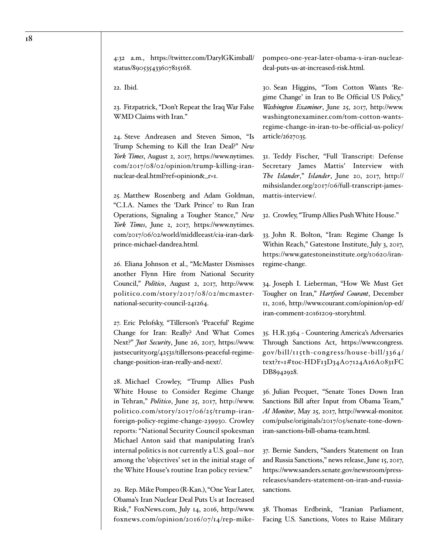4:32 a.m., [https://twitter.com/DarylGKimball/](https://twitter.com/DarylGKimball/status/890535433607815168) [status/890535433607815168](https://twitter.com/DarylGKimball/status/890535433607815168).

<span id="page-17-0"></span>22. Ibid.

<span id="page-17-1"></span>23. Fitzpatrick, "Don't Repeat the Iraq War False WMD Claims with Iran."

<span id="page-17-2"></span>24. Steve Andreasen and Steven Simon, "Is Trump Scheming to Kill the Iran Deal?" *New York Times*, August 2, 2017, [https://www.nytimes.](https://www.nytimes.com/2017/08/02/opinion/trump-killing-iran-nuclear-deal.html?ref=opinion&_r=1) [com/2017/08/02/opinion/trump-killing-iran](https://www.nytimes.com/2017/08/02/opinion/trump-killing-iran-nuclear-deal.html?ref=opinion&_r=1)[nuclear-deal.html?ref=opinion&\\_r=1.](https://www.nytimes.com/2017/08/02/opinion/trump-killing-iran-nuclear-deal.html?ref=opinion&_r=1)

<span id="page-17-3"></span>25. Matthew Rosenberg and Adam Goldman, "C.I.A. Names the 'Dark Prince' to Run Iran Operations, Signaling a Tougher Stance," *New York Times*, June 2, 2017, [https://www.nytimes.](https://www.nytimes.com/2017/06/02/world/middleeast/cia-iran-dark-prince-michael-dandrea.html) [com/2017/06/02/world/middleeast/cia-iran-dark](https://www.nytimes.com/2017/06/02/world/middleeast/cia-iran-dark-prince-michael-dandrea.html)[prince-michael-dandrea.html.](https://www.nytimes.com/2017/06/02/world/middleeast/cia-iran-dark-prince-michael-dandrea.html)

<span id="page-17-4"></span>26. Eliana Johnson et al., "McMaster Dismisses another Flynn Hire from National Security Council," *Politico*, August 2, 2017, [http://www.](http://www.politico.com/story/2017/08/02/mcmaster-national-security-council-241264) politico.com/story/2017/08/02/mcmaster[national-security-council-241264.](http://www.politico.com/story/2017/08/02/mcmaster-national-security-council-241264)

<span id="page-17-5"></span>27. Eric Pelofsky, "Tillerson's 'Peaceful' Regime Change for Iran: Really? And What Comes Next?" *Just Security*, June 26, 2017, [https://www.](https://www.justsecurity.org/42531/tillersons-peaceful-regime-change-position-iran-really-and-next/) [justsecurity.org/42531/tillersons-peaceful-regime](https://www.justsecurity.org/42531/tillersons-peaceful-regime-change-position-iran-really-and-next/)[change-position-iran-really-and-next/](https://www.justsecurity.org/42531/tillersons-peaceful-regime-change-position-iran-really-and-next/).

<span id="page-17-6"></span>28. Michael Crowley, "Trump Allies Push White House to Consider Regime Change in Tehran," *Politico*, June 25, 2017, [http://www.](http://www.politico.com/story/2017/06/25/trump-iran-foreign-policy-regime-change-239930) [politico.com/story/2017/06/25/trump-iran](http://www.politico.com/story/2017/06/25/trump-iran-foreign-policy-regime-change-239930)[foreign-policy-regime-change-239930](http://www.politico.com/story/2017/06/25/trump-iran-foreign-policy-regime-change-239930). Crowley reports: "National Security Council spokesman Michael Anton said that manipulating Iran's internal politics is not currently a U.S. goal—nor among the 'objectives' set in the initial stage of the White House's routine Iran policy review."

<span id="page-17-7"></span>29. Rep. Mike Pompeo (R-Kan.), "One Year Later, Obama's Iran Nuclear Deal Puts Us at Increased Risk," FoxNews.com, July 14, 2016, [http://www.](http://www.foxnews.com/opinion/2016/07/14/rep-mike-pompeo-one-year-later-obama-s-iran-nuclear-deal-puts-us-at-increased-risk.html) [foxnews.com/opinion/2016/07/14/rep-mike-](http://www.foxnews.com/opinion/2016/07/14/rep-mike-pompeo-one-year-later-obama-s-iran-nuclear-deal-puts-us-at-increased-risk.html) [pompeo-one-year-later-obama-s-iran-nuclear](http://www.foxnews.com/opinion/2016/07/14/rep-mike-pompeo-one-year-later-obama-s-iran-nuclear-deal-puts-us-at-increased-risk.html)[deal-puts-us-at-increased-risk.html.](http://www.foxnews.com/opinion/2016/07/14/rep-mike-pompeo-one-year-later-obama-s-iran-nuclear-deal-puts-us-at-increased-risk.html)

<span id="page-17-8"></span>30. Sean Higgins, "Tom Cotton Wants 'Regime Change' in Iran to Be Official US Policy," *Washington Examiner*, June 25, 2017, [http://www.](http://www.washingtonexaminer.com/tom-cotton-wants-regime-change-in-iran-to-be-official-us-policy/article/2627035) [washingtonexaminer.com/tom-cotton-wants](http://www.washingtonexaminer.com/tom-cotton-wants-regime-change-in-iran-to-be-official-us-policy/article/2627035)[regime-change-in-iran-to-be-official-us-policy/](http://www.washingtonexaminer.com/tom-cotton-wants-regime-change-in-iran-to-be-official-us-policy/article/2627035) [article/2627035](http://www.washingtonexaminer.com/tom-cotton-wants-regime-change-in-iran-to-be-official-us-policy/article/2627035).

<span id="page-17-9"></span>31. Teddy Fischer, "Full Transcript: Defense Secretary James Mattis' Interview with *The Islander*," *Islander*, June 20, 2017, [http://](http://mihsislander.org/2017/06/full-transcript-james-mattis-interview/) [mihsislander.org/2017/06/full-transcript-james](http://mihsislander.org/2017/06/full-transcript-james-mattis-interview/)[mattis-interview/](http://mihsislander.org/2017/06/full-transcript-james-mattis-interview/).

<span id="page-17-10"></span>32. Crowley, "Trump Allies Push White House."

<span id="page-17-11"></span>33. John R. Bolton, "Iran: Regime Change Is Within Reach," Gatestone Institute, July 3, 2017, [https://www.gatestoneinstitute.org/10620/iran](https://www.gatestoneinstitute.org/10620/iran-regime-change)[regime-change](https://www.gatestoneinstitute.org/10620/iran-regime-change).

<span id="page-17-12"></span>34. Joseph I. Lieberman, "How We Must Get Tougher on Iran," *Hartford Courant*, December 11, 2016, [http://www.courant.com/opinion/op-ed/](http://www.courant.com/opinion/op-ed/iran-comment-20161209-story.html) [iran-comment-20161209-story.html](http://www.courant.com/opinion/op-ed/iran-comment-20161209-story.html).

<span id="page-17-13"></span>35. H.R.3364 - Countering America's Adversaries Through Sanctions Act, https://www.congress. gov/bill/115th-congress/house-bill/3364/ text?r=1#toc-HDF13D34A07124A16A0831FC DB8942928.

<span id="page-17-14"></span>36. Julian Pecquet, "Senate Tones Down Iran Sanctions Bill after Input from Obama Team," *Al Monitor*, May 25, 2017, [http://www.al-monitor.](http://www.al-monitor.com/pulse/originals/2017/05/senate-tone-down-iran-sanctions-bill-obama-team.html) [com/pulse/originals/2017/05/senate-tone-down](http://www.al-monitor.com/pulse/originals/2017/05/senate-tone-down-iran-sanctions-bill-obama-team.html)[iran-sanctions-bill-obama-team.html](http://www.al-monitor.com/pulse/originals/2017/05/senate-tone-down-iran-sanctions-bill-obama-team.html).

<span id="page-17-15"></span>37. Bernie Sanders, "Sanders Statement on Iran and Russia Sanctions," news release, June 15, 2017, [https://www.sanders.senate.gov/newsroom/press](https://www.sanders.senate.gov/newsroom/press-releases/sanders-statement-on-iran-and-russia-sanctions)[releases/sanders-statement-on-iran-and-russia](https://www.sanders.senate.gov/newsroom/press-releases/sanders-statement-on-iran-and-russia-sanctions)[sanctions.](https://www.sanders.senate.gov/newsroom/press-releases/sanders-statement-on-iran-and-russia-sanctions)

<span id="page-17-16"></span>38. Thomas Erdbrink, "Iranian Parliament, Facing U.S. Sanctions, Votes to Raise Military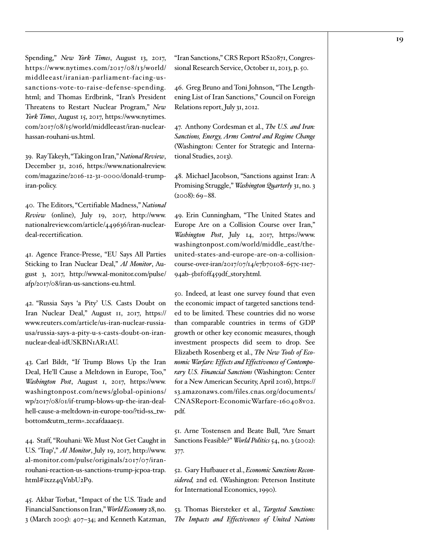Spending," *New York Times*, August 13, 2017, [https://www.nytimes.com/2017/08/13/world/](https://www.nytimes.com/2017/08/13/world/middleeast/iranian-parliament-facing-us-sanctions-vote-to-raise-defense-spending.html) [middleeast/iranian-parliament-facing-us](https://www.nytimes.com/2017/08/13/world/middleeast/iranian-parliament-facing-us-sanctions-vote-to-raise-defense-spending.html)[sanctions-vote-to-raise-defense-spending.](https://www.nytimes.com/2017/08/13/world/middleeast/iranian-parliament-facing-us-sanctions-vote-to-raise-defense-spending.html) [html;](https://www.nytimes.com/2017/08/13/world/middleeast/iranian-parliament-facing-us-sanctions-vote-to-raise-defense-spending.html) and Thomas Erdbrink, "Iran's President Threatens to Restart Nuclear Program," *New York Times*, August 15, 2017, [https://www.nytimes.](https://www.nytimes.com/2017/08/15/world/middleeast/iran-nuclear-hassan-rouhani-us.html) [com/2017/08/15/world/middleeast/iran-nuclear](https://www.nytimes.com/2017/08/15/world/middleeast/iran-nuclear-hassan-rouhani-us.html)[hassan-rouhani-us.html](https://www.nytimes.com/2017/08/15/world/middleeast/iran-nuclear-hassan-rouhani-us.html).

<span id="page-18-0"></span>39. Ray Takeyh, "Taking on Iran," *National Review*, December 31, 2016, [https://www.nationalreview.](https://www.nationalreview.com/magazine/2016-12-31-0000/donald-trump-iran-policy) [com/magazine/2016-12-31-0000/donald-trump](https://www.nationalreview.com/magazine/2016-12-31-0000/donald-trump-iran-policy)[iran-policy.](https://www.nationalreview.com/magazine/2016-12-31-0000/donald-trump-iran-policy)

<span id="page-18-1"></span>40. The Editors, "Certifiable Madness," *National Review* (online), July 19, 2017, [http://www.](http://www.nationalreview.com/article/449636/iran-nuclear-deal-recertification) [nationalreview.com/article/449636/iran-nuclear](http://www.nationalreview.com/article/449636/iran-nuclear-deal-recertification)[deal-recertification.](http://www.nationalreview.com/article/449636/iran-nuclear-deal-recertification)

<span id="page-18-2"></span>41. Agence France-Presse, "EU Says All Parties Sticking to Iran Nuclear Deal," *Al Monitor*, August 3, 2017, [http://www.al-monitor.com/pulse/](http://www.al-monitor.com/pulse/afp/2017/08/iran-us-sanctions-eu.html) [afp/2017/08/iran-us-sanctions-eu.html](http://www.al-monitor.com/pulse/afp/2017/08/iran-us-sanctions-eu.html).

<span id="page-18-3"></span>42. "Russia Says 'a Pity' U.S. Casts Doubt on Iran Nuclear Deal," August 11, 2017, https:// www.reuters.com/article/us-iran-nuclear-russiausa/russia-says-a-pity-u-s-casts-doubt-on-irannuclear-deal-idUSKBN1AR1AU.

<span id="page-18-4"></span>43. Carl Bildt, "If Trump Blows Up the Iran Deal, He'll Cause a Meltdown in Europe, Too," *Washington Post*, August 1, 2017, [https://www.](https://www.washingtonpost.com/news/global-opinions/wp/2017/08/01/if-trump-blows-up-the-iran-deal-hell-cause-a-meltdown-in-europe-too/?tid=ss_tw-bottom&utm_term=.2ccafdaaae51) [washingtonpost.com/news/global-opinions/](https://www.washingtonpost.com/news/global-opinions/wp/2017/08/01/if-trump-blows-up-the-iran-deal-hell-cause-a-meltdown-in-europe-too/?tid=ss_tw-bottom&utm_term=.2ccafdaaae51) [wp/2017/08/01/if-trump-blows-up-the-iran-deal](https://www.washingtonpost.com/news/global-opinions/wp/2017/08/01/if-trump-blows-up-the-iran-deal-hell-cause-a-meltdown-in-europe-too/?tid=ss_tw-bottom&utm_term=.2ccafdaaae51)[hell-cause-a-meltdown-in-europe-too/?tid=ss\\_tw](https://www.washingtonpost.com/news/global-opinions/wp/2017/08/01/if-trump-blows-up-the-iran-deal-hell-cause-a-meltdown-in-europe-too/?tid=ss_tw-bottom&utm_term=.2ccafdaaae51)[bottom&utm\\_term=.2ccafdaaae51](https://www.washingtonpost.com/news/global-opinions/wp/2017/08/01/if-trump-blows-up-the-iran-deal-hell-cause-a-meltdown-in-europe-too/?tid=ss_tw-bottom&utm_term=.2ccafdaaae51).

<span id="page-18-5"></span>44. Staff, "Rouhani: We Must Not Get Caught in U.S. 'Trap'," *Al Monitor*, July 19, 2017, http://www. al-monitor.com/pulse/originals/2017/07/iranrouhani-reaction-us-sanctions-trump-jcpoa-trap. html#ixzz4qVnbU2P9.

<span id="page-18-6"></span>45. Akbar Torbat, "Impact of the U.S. Trade and Financial Sanctions on Iran," *World Economy* 28, no. 3 (March 2005): 407–34; and Kenneth Katzman,

"Iran Sanctions," CRS Report RS20871, Congressional Research Service, October 11, 2013, p. 50.

<span id="page-18-7"></span>46. Greg Bruno and Toni Johnson, "The Lengthening List of Iran Sanctions," Council on Foreign Relations report, July 31, 2012.

<span id="page-18-8"></span>47. Anthony Cordesman et al., *The U.S. and Iran: Sanctions, Energy, Arms Control and Regime Change* (Washington: Center for Strategic and International Studies, 2013).

<span id="page-18-9"></span>48. Michael Jacobson, "Sanctions against Iran: A Promising Struggle," *Washington Quarterly* 31, no. 3 (2008): 69–88.

<span id="page-18-10"></span>49. Erin Cunningham, "The United States and Europe Are on a Collision Course over Iran," *Washington Post*, July 14, 2017, [https://www.](https://www.washingtonpost.com/world/middle_east/the-united-states-and-europe-are-on-a-collision-course-over-iran/2017/07/14/e7b70108-657c-11e7-94ab-5b1f0ff459df_story.html) [washingtonpost.com/world/middle\\_east/the](https://www.washingtonpost.com/world/middle_east/the-united-states-and-europe-are-on-a-collision-course-over-iran/2017/07/14/e7b70108-657c-11e7-94ab-5b1f0ff459df_story.html)[united-states-and-europe-are-on-a-collision](https://www.washingtonpost.com/world/middle_east/the-united-states-and-europe-are-on-a-collision-course-over-iran/2017/07/14/e7b70108-657c-11e7-94ab-5b1f0ff459df_story.html)[course-over-iran/2017/07/14/e7b70108-657c-11e7-](https://www.washingtonpost.com/world/middle_east/the-united-states-and-europe-are-on-a-collision-course-over-iran/2017/07/14/e7b70108-657c-11e7-94ab-5b1f0ff459df_story.html) [94ab-5b1f0ff459df\\_story.html.](https://www.washingtonpost.com/world/middle_east/the-united-states-and-europe-are-on-a-collision-course-over-iran/2017/07/14/e7b70108-657c-11e7-94ab-5b1f0ff459df_story.html)

<span id="page-18-11"></span>50. Indeed, at least one survey found that even the economic impact of targeted sanctions tended to be limited. These countries did no worse than comparable countries in terms of GDP growth or other key economic measures, though investment prospects did seem to drop. See Elizabeth Rosenberg et al., *The New Tools of Economic Warfare: Effects and Effectiveness of Contemporary U.S. Financial Sanctions* (Washington: Center for a New American Security, April 2016), [https://](https://s3.amazonaws.com/files.cnas.org/documents/CNASReport-EconomicWarfare-160408v02.pdf) [s3.amazonaws.com/files.cnas.org/documents/](https://s3.amazonaws.com/files.cnas.org/documents/CNASReport-EconomicWarfare-160408v02.pdf) [CNASReport-EconomicWarfare-160408v02.](https://s3.amazonaws.com/files.cnas.org/documents/CNASReport-EconomicWarfare-160408v02.pdf) [pdf](https://s3.amazonaws.com/files.cnas.org/documents/CNASReport-EconomicWarfare-160408v02.pdf).

<span id="page-18-12"></span>51. Arne Tostensen and Beate Bull, "Are Smart Sanctions Feasible?" *World Politics* 54, no. 3 (2002): 377.

<span id="page-18-13"></span>52. Gary Hufbauer et al., *Economic Sanctions Reconsidered,* 2nd ed. (Washington: Peterson Institute for International Economics, 1990).

<span id="page-18-14"></span>53. Thomas Biersteker et al., *Targeted Sanctions: The Impacts and Effectiveness of United Nations*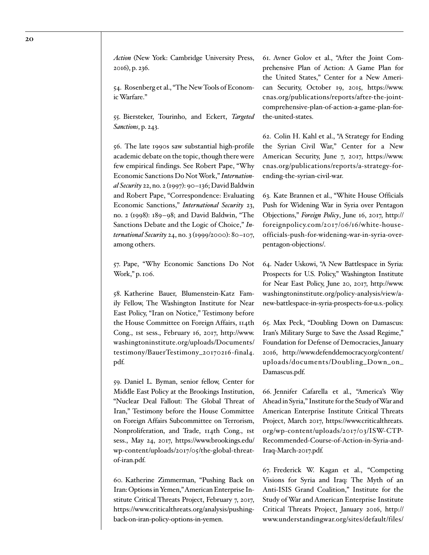*Action* (New York: Cambridge University Press, 2016), p. 236.

<span id="page-19-0"></span>54. Rosenberg et al., "The New Tools of Economic Warfare."

<span id="page-19-1"></span>55. Biersteker, Tourinho, and Eckert, *Targeted Sanctions*, p. 243.

<span id="page-19-2"></span>56. The late 1990s saw substantial high-profile academic debate on the topic, though there were few empirical findings. See Robert Pape, "Why Economic Sanctions Do Not Work," *International Security* 22, no. 2 (1997): 90–136; David Baldwin and Robert Pape, "Correspondence: Evaluating Economic Sanctions," *International Security* 23, no. 2 (1998): 189–98; and David Baldwin, "The Sanctions Debate and the Logic of Choice," *International Security* 24, no. 3 (1999/2000): 80–107, among others.

<span id="page-19-3"></span>57. Pape, "Why Economic Sanctions Do Not Work," p. 106.

<span id="page-19-4"></span>58. Katherine Bauer, Blumenstein-Katz Family Fellow, The Washington Institute for Near East Policy, "Iran on Notice," Testimony before the House Committee on Foreign Affairs, 114th Cong., 1st sess., February 16, 2017, [http://www.](http://www.washingtoninstitute.org/uploads/Documents/testimony/BauerTestimony_20170216-final4.pdf) [washingtoninstitute.org/uploads/Documents/](http://www.washingtoninstitute.org/uploads/Documents/testimony/BauerTestimony_20170216-final4.pdf) [testimony/BauerTestimony\\_20170216-final4.](http://www.washingtoninstitute.org/uploads/Documents/testimony/BauerTestimony_20170216-final4.pdf) [pdf.](http://www.washingtoninstitute.org/uploads/Documents/testimony/BauerTestimony_20170216-final4.pdf)

<span id="page-19-5"></span>59. Daniel L. Byman, senior fellow, Center for Middle East Policy at the Brookings Institution, "Nuclear Deal Fallout: The Global Threat of Iran," Testimony before the House Committee on Foreign Affairs Subcommittee on Terrorism, Nonproliferation, and Trade, 114th Cong., 1st sess., May 24, 2017, [https://www.brookings.edu/](https://www.brookings.edu/wp-content/uploads/2017/05/the-global-threat-of-iran.pdf) [wp-content/uploads/2017/05/the-global-threat](https://www.brookings.edu/wp-content/uploads/2017/05/the-global-threat-of-iran.pdf)[of-iran.pdf.](https://www.brookings.edu/wp-content/uploads/2017/05/the-global-threat-of-iran.pdf)

<span id="page-19-6"></span>60. Katherine Zimmerman, "Pushing Back on Iran: Options in Yemen," American Enterprise Institute Critical Threats Project, February 7, 2017, [https://www.criticalthreats.org/analysis/pushing](https://www.criticalthreats.org/analysis/pushing-back-on-iran-policy-options-in-yemen)[back-on-iran-policy-options-in-yemen.](https://www.criticalthreats.org/analysis/pushing-back-on-iran-policy-options-in-yemen)

<span id="page-19-7"></span>61. Avner Golov et al., "After the Joint Comprehensive Plan of Action: A Game Plan for the United States," Center for a New American Security, October 19, 2015, [https://www.](https://www.cnas.org/publications/reports/after-the-joint-comprehensive-plan-of-action-a-game-plan-for-the-united-states) [cnas.org/publications/reports/after-the-joint](https://www.cnas.org/publications/reports/after-the-joint-comprehensive-plan-of-action-a-game-plan-for-the-united-states)[comprehensive-plan-of-action-a-game-plan-for](https://www.cnas.org/publications/reports/after-the-joint-comprehensive-plan-of-action-a-game-plan-for-the-united-states)[the-united-states](https://www.cnas.org/publications/reports/after-the-joint-comprehensive-plan-of-action-a-game-plan-for-the-united-states).

<span id="page-19-8"></span>62. Colin H. Kahl et al., "A Strategy for Ending the Syrian Civil War," Center for a New American Security, June 7, 2017, [https://www.](https://www.cnas.org/publications/reports/a-strategy-for-ending-the-syrian-civil-war) [cnas.org/publications/reports/a-strategy-for](https://www.cnas.org/publications/reports/a-strategy-for-ending-the-syrian-civil-war)[ending-the-syrian-civil-war.](https://www.cnas.org/publications/reports/a-strategy-for-ending-the-syrian-civil-war)

<span id="page-19-9"></span>63. Kate Brannen et al., "White House Officials Push for Widening War in Syria over Pentagon Objections," *Foreign Policy*, June 16, 2017, [http://](http://foreignpolicy.com/2017/06/16/white-house-officials-push-for-widening-war-in-syria-over-pentagon-objections/) [foreignpolicy.com/2017/06/16/white-house](http://foreignpolicy.com/2017/06/16/white-house-officials-push-for-widening-war-in-syria-over-pentagon-objections/)[officials-push-for-widening-war-in-syria-over](http://foreignpolicy.com/2017/06/16/white-house-officials-push-for-widening-war-in-syria-over-pentagon-objections/)[pentagon-objections/](http://foreignpolicy.com/2017/06/16/white-house-officials-push-for-widening-war-in-syria-over-pentagon-objections/).

<span id="page-19-10"></span>64. Nader Uskowi, "A New Battlespace in Syria: Prospects for U.S. Policy," Washington Institute for Near East Policy, June 20, 2017, [http://www.](http://www.washingtoninstitute.org/policy-analysis/view/a-new-battlespace-in-syria-prospects-for-u.s.-policy) [washingtoninstitute.org/policy-analysis/view/a](http://www.washingtoninstitute.org/policy-analysis/view/a-new-battlespace-in-syria-prospects-for-u.s.-policy)[new-battlespace-in-syria-prospects-for-u.s.-policy.](http://www.washingtoninstitute.org/policy-analysis/view/a-new-battlespace-in-syria-prospects-for-u.s.-policy)

<span id="page-19-11"></span>65. Max Peck, "Doubling Down on Damascus: Iran's Military Surge to Save the Assad Regime," Foundation for Defense of Democracies, January 2016, [http://www.defenddemocracy.org/content/](http://www.defenddemocracy.org/content/uploads/documents/Doubling_Down_on_Damascus.pdf) [uploads/documents/Doubling\\_Down\\_on\\_](http://www.defenddemocracy.org/content/uploads/documents/Doubling_Down_on_Damascus.pdf) [Damascus.pdf](http://www.defenddemocracy.org/content/uploads/documents/Doubling_Down_on_Damascus.pdf).

<span id="page-19-12"></span>66. Jennifer Cafarella et al., "America's Way Ahead in Syria," Institute for the Study of War and American Enterprise Institute Critical Threats Project, March 2017, [https://www.criticalthreats.](https://www.criticalthreats.org/wp-content/uploads/2017/03/ISW-CTP-Recommended-Course-of-Action-in-Syria-and-Iraq-March-2017.pdf) [org/wp-content/uploads/2017/03/ISW-CTP-](https://www.criticalthreats.org/wp-content/uploads/2017/03/ISW-CTP-Recommended-Course-of-Action-in-Syria-and-Iraq-March-2017.pdf)[Recommended-Course-of-Action-in-Syria-and-](https://www.criticalthreats.org/wp-content/uploads/2017/03/ISW-CTP-Recommended-Course-of-Action-in-Syria-and-Iraq-March-2017.pdf)[Iraq-March-2017.pdf](https://www.criticalthreats.org/wp-content/uploads/2017/03/ISW-CTP-Recommended-Course-of-Action-in-Syria-and-Iraq-March-2017.pdf).

<span id="page-19-13"></span>67. Frederick W. Kagan et al., "Competing Visions for Syria and Iraq: The Myth of an Anti-ISIS Grand Coalition," Institute for the Study of War and American Enterprise Institute Critical Threats Project, January 2016, [http://](http://www.understandingwar.org/sites/default/files/PLANEX%20Report%202%20FINALFINAL.pdf) [www.understandingwar.org/sites/default/files/](http://www.understandingwar.org/sites/default/files/PLANEX%20Report%202%20FINALFINAL.pdf)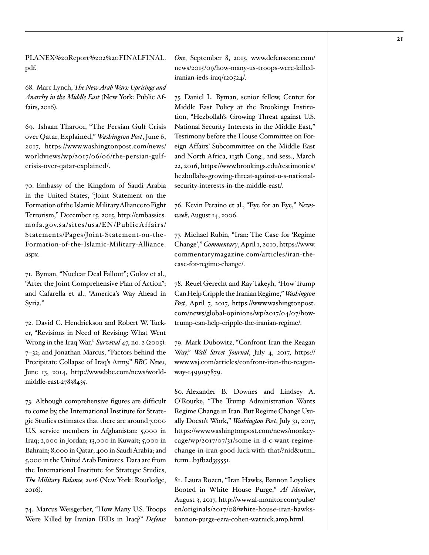[PLANEX%20Report%202%20FINALFINAL.](http://www.understandingwar.org/sites/default/files/PLANEX%20Report%202%20FINALFINAL.pdf) [pdf.](http://www.understandingwar.org/sites/default/files/PLANEX%20Report%202%20FINALFINAL.pdf)

<span id="page-20-0"></span>68. Marc Lynch, *The New Arab Wars: Uprisings and Anarchy in the Middle East* (New York: Public Affairs, 2016).

<span id="page-20-1"></span>69. Ishaan Tharoor, "The Persian Gulf Crisis over Qatar, Explained," *Washington Post*, June 6, 2017, [https://www.washingtonpost.com/news/](https://www.washingtonpost.com/news/worldviews/wp/2017/06/06/the-persian-gulf-crisis-over-qatar-explained/) [worldviews/wp/2017/06/06/the-persian-gulf](https://www.washingtonpost.com/news/worldviews/wp/2017/06/06/the-persian-gulf-crisis-over-qatar-explained/)[crisis-over-qatar-explained/.](https://www.washingtonpost.com/news/worldviews/wp/2017/06/06/the-persian-gulf-crisis-over-qatar-explained/)

<span id="page-20-2"></span>70. Embassy of the Kingdom of Saudi Arabia in the United States, "Joint Statement on the Formation of the Islamic Military Alliance to Fight Terrorism," December 15, 2015, [http://embassies.](http://embassies.mofa.gov.sa/sites/usa/EN/PublicAffairs/Statements/Pages/Joint-Statement-on-the-Formation-of-the-Islamic-Military-Alliance.aspx) [mofa.go v.sa/sites/usa/EN/PublicAffairs/](http://embassies.mofa.gov.sa/sites/usa/EN/PublicAffairs/Statements/Pages/Joint-Statement-on-the-Formation-of-the-Islamic-Military-Alliance.aspx) [Statements/Pages/Joint-Statement-on-the-](http://embassies.mofa.gov.sa/sites/usa/EN/PublicAffairs/Statements/Pages/Joint-Statement-on-the-Formation-of-the-Islamic-Military-Alliance.aspx)[Formation-of-the-Islamic-Military-Alliance.](http://embassies.mofa.gov.sa/sites/usa/EN/PublicAffairs/Statements/Pages/Joint-Statement-on-the-Formation-of-the-Islamic-Military-Alliance.aspx) [aspx](http://embassies.mofa.gov.sa/sites/usa/EN/PublicAffairs/Statements/Pages/Joint-Statement-on-the-Formation-of-the-Islamic-Military-Alliance.aspx).

<span id="page-20-3"></span>71. Byman, "Nuclear Deal Fallout"; Golov et al., "After the Joint Comprehensive Plan of Action"; and Cafarella et al., "America's Way Ahead in Syria."

<span id="page-20-4"></span>72. David C. Hendrickson and Robert W. Tucker, "Revisions in Need of Revising: What Went Wrong in the Iraq War," *Survival* 47, no. 2 (2005): 7–32; and Jonathan Marcus, "Factors behind the Precipitate Collapse of Iraq's Army," *BBC News*, June 13, 2014, [http://www.bbc.com/news/world](http://www.bbc.com/news/world-middle-east-27838435)[middle-east-27838435.](http://www.bbc.com/news/world-middle-east-27838435)

<span id="page-20-5"></span>73. Although comprehensive figures are difficult to come by, the International Institute for Strategic Studies estimates that there are around 7,000 U.S. service members in Afghanistan; 5,000 in Iraq; 2,000 in Jordan; 13,000 in Kuwait; 5,000 in Bahrain; 8,000 in Qatar; 400 in Saudi Arabia; and 5,000 in the United Arab Emirates. Data are from the International Institute for Strategic Studies, *The Military Balance, 2016* (New York: Routledge, 2016).

<span id="page-20-6"></span>74. Marcus Weisgerber, "How Many U.S. Troops Were Killed by Iranian IEDs in Iraq?" *Defense*  *One*, September 8, 2015, [www.defenseone.com/](http://www.defenseone.com/news/2015/09/how-many-us-troops-were-killed-iranian-ieds-iraq/120524/) [news/2015/09/how-many-us-troops-were-killed](http://www.defenseone.com/news/2015/09/how-many-us-troops-were-killed-iranian-ieds-iraq/120524/)[iranian-ieds-iraq/120524/](http://www.defenseone.com/news/2015/09/how-many-us-troops-were-killed-iranian-ieds-iraq/120524/).

<span id="page-20-7"></span>75. Daniel L. Byman, senior fellow, Center for Middle East Policy at the Brookings Institution, "Hezbollah's Growing Threat against U.S. National Security Interests in the Middle East," Testimony before the House Committee on Foreign Affairs' Subcommittee on the Middle East and North Africa, 113th Cong., 2nd sess., March 22, 2016, [https://www.brookings.edu/testimonies/](https://www.brookings.edu/testimonies/hezbollahs-growing-threat-against-u-s-national-security-interests-in-the-middle-east/) [hezbollahs-growing-threat-against-u-s-national](https://www.brookings.edu/testimonies/hezbollahs-growing-threat-against-u-s-national-security-interests-in-the-middle-east/)[security-interests-in-the-middle-east/](https://www.brookings.edu/testimonies/hezbollahs-growing-threat-against-u-s-national-security-interests-in-the-middle-east/).

<span id="page-20-8"></span>76. Kevin Peraino et al., "Eye for an Eye," *Newsweek*, August 14, 2006.

<span id="page-20-9"></span>77. Michael Rubin, "Iran: The Case for 'Regime Change'," *Commentary*, April 1, 2010, [https://www.](https://www.commentarymagazine.com/articles/iran-the-case-for-regime-change/) [commentarymagazine.com/articles/iran-the](https://www.commentarymagazine.com/articles/iran-the-case-for-regime-change/)[case-for-regime-change/](https://www.commentarymagazine.com/articles/iran-the-case-for-regime-change/).

<span id="page-20-10"></span>78. Reuel Gerecht and Ray Takeyh, "How Trump Can Help Cripple the Iranian Regime," *Washington Post*, April 7, 2017, [https://www.washingtonpost.](https://www.washingtonpost.com/news/global-opinions/wp/2017/04/07/how-trump-can-help-cripple-the-iranian-regime/) [com/news/global-opinions/wp/2017/04/07/how](https://www.washingtonpost.com/news/global-opinions/wp/2017/04/07/how-trump-can-help-cripple-the-iranian-regime/)[trump-can-help-cripple-the-iranian-regime/](https://www.washingtonpost.com/news/global-opinions/wp/2017/04/07/how-trump-can-help-cripple-the-iranian-regime/).

<span id="page-20-11"></span>79. Mark Dubowitz, "Confront Iran the Reagan Way," *Wall Street Journal*, July 4, 2017, [https://](https://www.wsj.com/articles/confront-iran-the-reagan-way-1499197879) [www.wsj.com/articles/confront-iran-the-reagan](https://www.wsj.com/articles/confront-iran-the-reagan-way-1499197879)[way-1499197879.](https://www.wsj.com/articles/confront-iran-the-reagan-way-1499197879)

<span id="page-20-12"></span>80. Alexander B. Downes and Lindsey A. O'Rourke, "The Trump Administration Wants Regime Change in Iran. But Regime Change Usually Doesn't Work," *Washington Post*, July 31, 2017, [https://www.washingtonpost.com/news/monkey](https://www.washingtonpost.com/news/monkey-cage/wp/2017/07/31/some-in-d-c-want-regime-change-in-iran-good-luck-with-that/?nid&utm_term=.b3fb2d355551)[cage/wp/2017/07/31/some-in-d-c-want-regime](https://www.washingtonpost.com/news/monkey-cage/wp/2017/07/31/some-in-d-c-want-regime-change-in-iran-good-luck-with-that/?nid&utm_term=.b3fb2d355551)[change-in-iran-good-luck-with-that/?nid&utm\\_](https://www.washingtonpost.com/news/monkey-cage/wp/2017/07/31/some-in-d-c-want-regime-change-in-iran-good-luck-with-that/?nid&utm_term=.b3fb2d355551) [term=.b3fb2d355551.](https://www.washingtonpost.com/news/monkey-cage/wp/2017/07/31/some-in-d-c-want-regime-change-in-iran-good-luck-with-that/?nid&utm_term=.b3fb2d355551)

<span id="page-20-13"></span>81. Laura Rozen, "Iran Hawks, Bannon Loyalists Booted in White House Purge," *Al Monitor*, August 3, 2017, [http://www.al-monitor.com/pulse/](http://www.al-monitor.com/pulse/en/originals/2017/08/white-house-iran-hawks-bannon-purge-ezra-cohen-watnick.amp.html) [en/originals/2017/08/white-house-iran-hawks](http://www.al-monitor.com/pulse/en/originals/2017/08/white-house-iran-hawks-bannon-purge-ezra-cohen-watnick.amp.html)[bannon-purge-ezra-cohen-watnick.amp.html](http://www.al-monitor.com/pulse/en/originals/2017/08/white-house-iran-hawks-bannon-purge-ezra-cohen-watnick.amp.html).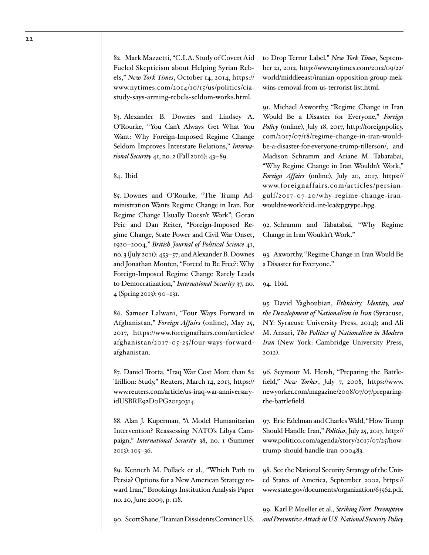<span id="page-21-0"></span>82. Mark Mazzetti, "C.I.A. Study of Covert Aid Fueled Skepticism about Helping Syrian Rebels," *New York Times*, October 14, 2014, [https://](https://www.nytimes.com/2014/10/15/us/politics/cia-study-says-arming-rebels-seldom-works.html) [www.nytimes.com/2014/10/15/us/politics/cia](https://www.nytimes.com/2014/10/15/us/politics/cia-study-says-arming-rebels-seldom-works.html)[study-says-arming-rebels-seldom-works.html.](https://www.nytimes.com/2014/10/15/us/politics/cia-study-says-arming-rebels-seldom-works.html)

<span id="page-21-1"></span>83. Alexander B. Downes and Lindsey A. O'Rourke, "You Can't Always Get What You Want: Why Foreign-Imposed Regime Change Seldom Improves Interstate Relations," *International Security* 41, no. 2 (Fall 2016): 43–89.

#### <span id="page-21-2"></span>84. Ibid.

<span id="page-21-3"></span>85. Downes and O'Rourke, "The Trump Administration Wants Regime Change in Iran. But Regime Change Usually Doesn't Work"; Goran Peic and Dan Reiter, "Foreign-Imposed Regime Change, State Power and Civil War Onset, 1920–2004," *British Journal of Political Science* 41, no. 3 (July 2011): 453–57; and Alexander B. Downes and Jonathan Monten, "Forced to Be Free?: Why Foreign-Imposed Regime Change Rarely Leads to Democratization," *International Security* 37, no. 4 (Spring 2013): 90–131.

<span id="page-21-4"></span>86. Sameer Lalwani, "Four Ways Forward in Afghanistan," *Foreign Affairs* (online), May 25, 2017, [https://www.foreignaffairs.com/articles/](https://www.foreignaffairs.com/articles/afghanistan/2017-05-25/four-ways-forward-afghanistan) [afghanistan/2017- 05-25/four-ways-forward](https://www.foreignaffairs.com/articles/afghanistan/2017-05-25/four-ways-forward-afghanistan)[afghanistan](https://www.foreignaffairs.com/articles/afghanistan/2017-05-25/four-ways-forward-afghanistan).

<span id="page-21-5"></span>87. Daniel Trotta, "Iraq War Cost More than \$2 Trillion: Study," Reuters, March 14, 2013, [https://](https://www.reuters.com/article/us-iraq-war-anniversary-idUSBRE92D0PG20130314) [www.reuters.com/article/us-iraq-war-anniversary](https://www.reuters.com/article/us-iraq-war-anniversary-idUSBRE92D0PG20130314)[idUSBRE92D0PG20130314](https://www.reuters.com/article/us-iraq-war-anniversary-idUSBRE92D0PG20130314).

<span id="page-21-6"></span>88. Alan J. Kuperman, "A Model Humanitarian Intervention? Reassessing NATO's Libya Campaign," *International Security* 38, no. 1 (Summer 2013): 105–36.

<span id="page-21-7"></span>89. Kenneth M. Pollack et al., "Which Path to Persia? Options for a New American Strategy toward Iran," Brookings Institution Analysis Paper no. 20, June 2009, p. 118.

<span id="page-21-8"></span>90. Scott Shane, "Iranian Dissidents Convince U.S.

to Drop Terror Label," *New York Times*, September 21, 2012, [http://www.nytimes.com/2012/09/22/](http://www.nytimes.com/2012/09/22/world/middleeast/iranian-opposition-group-mek-wins-removal-from-us-terrorist-list.html) [world/middleeast/iranian-opposition-group-mek](http://www.nytimes.com/2012/09/22/world/middleeast/iranian-opposition-group-mek-wins-removal-from-us-terrorist-list.html)[wins-removal-from-us-terrorist-list.html](http://www.nytimes.com/2012/09/22/world/middleeast/iranian-opposition-group-mek-wins-removal-from-us-terrorist-list.html).

<span id="page-21-9"></span>91. Michael Axworthy, "Regime Change in Iran Would Be a Disaster for Everyone," *Foreign Policy* (online), July 18, 2017, [http://foreignpolicy.](http://foreignpolicy.com/2017/07/18/regime-change-in-iran-would-be-a-disaster-for-everyone-trump-tillerson/) [com/2017/07/18/regime-change-in-iran-would](http://foreignpolicy.com/2017/07/18/regime-change-in-iran-would-be-a-disaster-for-everyone-trump-tillerson/)[be-a-disaster-for-everyone-trump-tillerson/](http://foreignpolicy.com/2017/07/18/regime-change-in-iran-would-be-a-disaster-for-everyone-trump-tillerson/); and Madison Schramm and Ariane M. Tabatabai, "Why Regime Change in Iran Wouldn't Work," *Foreign Affairs* (online), July 20, 2017, [https://](https://www.foreignaffairs.com/articles/persian-gulf/2017-07-20/why-regime-change-iran-wouldnt-work?cid=int-lea&pgtype=hpg) [www.foreignaffairs.com/articles/persian](https://www.foreignaffairs.com/articles/persian-gulf/2017-07-20/why-regime-change-iran-wouldnt-work?cid=int-lea&pgtype=hpg)[gulf/2017-07-20/why-regime-change-iran](https://www.foreignaffairs.com/articles/persian-gulf/2017-07-20/why-regime-change-iran-wouldnt-work?cid=int-lea&pgtype=hpg)[wouldnt-work?cid=int-lea&pgtype=hpg](https://www.foreignaffairs.com/articles/persian-gulf/2017-07-20/why-regime-change-iran-wouldnt-work?cid=int-lea&pgtype=hpg).

<span id="page-21-10"></span>92. Schramm and Tabatabai, "Why Regime Change in Iran Wouldn't Work."

<span id="page-21-11"></span>93. Axworthy, "Regime Change in Iran Would Be a Disaster for Everyone."

<span id="page-21-12"></span>94. Ibid.

<span id="page-21-13"></span>95. David Yaghoubian, *Ethnicity, Identity, and the Development of Nationalism in Iran* (Syracuse, NY: Syracuse University Press, 2014); and Ali M. Ansari, *The Politics of Nationalism in Modern Iran* (New York: Cambridge University Press, 2012).

<span id="page-21-14"></span>96. Seymour M. Hersh, "Preparing the Battlefield," *New Yorker*, July 7, 2008, [https://www.](https://www.newyorker.com/magazine/2008/07/07/preparing-the-battlefield) [newyorker.com/magazine/2008/07/07/preparing](https://www.newyorker.com/magazine/2008/07/07/preparing-the-battlefield)[the-battlefield](https://www.newyorker.com/magazine/2008/07/07/preparing-the-battlefield).

<span id="page-21-15"></span>97. Eric Edelman and Charles Wald, "How Trump Should Handle Iran," *Politico*, July 25, 2017, [http://](http://www.politico.com/agenda/story/2017/07/25/how-trump-should-handle-iran-000483) [www.politico.com/agenda/story/2017/07/25/how](http://www.politico.com/agenda/story/2017/07/25/how-trump-should-handle-iran-000483)[trump-should-handle-iran-000483](http://www.politico.com/agenda/story/2017/07/25/how-trump-should-handle-iran-000483).

<span id="page-21-16"></span>98. See the National Security Strategy of the United States of America, September 2002, [https://](https://www.state.gov/documents/organization/63562.pdf) [www.state.gov/documents/organization/63562.pdf](https://www.state.gov/documents/organization/63562.pdf).

<span id="page-21-17"></span>99. Karl P. Mueller et al., *Striking First: Preemptive and Preventive Attack in U.S. National Security Policy*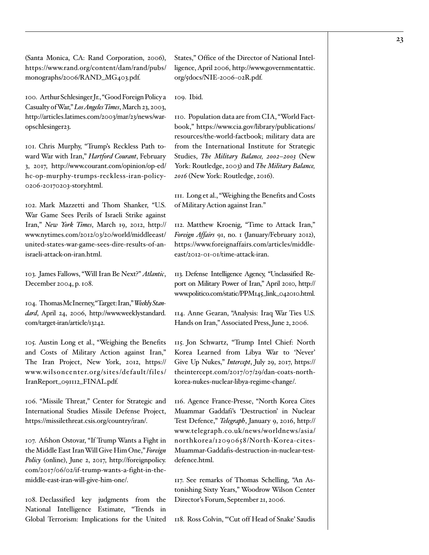(Santa Monica, CA: Rand Corporation, 2006), [https://www.rand.org/content/dam/rand/pubs/](https://www.rand.org/content/dam/rand/pubs/monographs/2006/RAND_MG403.pdf) [monographs/2006/RAND\\_MG403.pdf](https://www.rand.org/content/dam/rand/pubs/monographs/2006/RAND_MG403.pdf).

<span id="page-22-0"></span>100. Arthur Schlesinger Jr., "Good Foreign Policy a Casualty of War," *Los Angeles Times*, March 23, 2003, [http://articles.latimes.com/2003/mar/23/news/war](http://articles.latimes.com/2003/mar/23/news/war-opschlesinger23)[opschlesinger23](http://articles.latimes.com/2003/mar/23/news/war-opschlesinger23).

<span id="page-22-1"></span>101. Chris Murphy, "Trump's Reckless Path toward War with Iran," *Hartford Courant*, February 3, 2017, [http://www.courant.com/opinion/op-ed/](http://www.courant.com/opinion/op-ed/hc-op-murphy-trumps-reckless-iran-policy-0206-20170203-story.html) [hc-op-murphy-trumps-reckless-iran-policy-](http://www.courant.com/opinion/op-ed/hc-op-murphy-trumps-reckless-iran-policy-0206-20170203-story.html)[0206-20170203-story.html](http://www.courant.com/opinion/op-ed/hc-op-murphy-trumps-reckless-iran-policy-0206-20170203-story.html).

<span id="page-22-2"></span>102. Mark Mazzetti and Thom Shanker, "U.S. War Game Sees Perils of Israeli Strike against Iran," *New York Times*, March 19, 2012, [http://](http://www.nytimes.com/2012/03/20/world/middleeast/united-states-war-game-sees-dire-results-of-an-israeli-attack-on-iran.html) [www.nytimes.com/2012/03/20/world/middleeast/](http://www.nytimes.com/2012/03/20/world/middleeast/united-states-war-game-sees-dire-results-of-an-israeli-attack-on-iran.html) [united-states-war-game-sees-dire-results-of-an](http://www.nytimes.com/2012/03/20/world/middleeast/united-states-war-game-sees-dire-results-of-an-israeli-attack-on-iran.html)[israeli-attack-on-iran.html](http://www.nytimes.com/2012/03/20/world/middleeast/united-states-war-game-sees-dire-results-of-an-israeli-attack-on-iran.html).

<span id="page-22-3"></span>103. James Fallows, "Will Iran Be Next?" *Atlantic*, December 2004, p. 108.

<span id="page-22-4"></span>104. Thomas McInerney, "Target: Iran," *Weekly Standard*, April 24, 2006, [http://www.weeklystandard.](http://www.weeklystandard.com/target-iran/article/13242) [com/target-iran/article/13242.](http://www.weeklystandard.com/target-iran/article/13242)

<span id="page-22-5"></span>105. Austin Long et al., "Weighing the Benefits and Costs of Military Action against Iran," The Iran Project, New York, 2012, [https://](https://www.wilsoncenter.org/sites/default/files/IranReport_091112_FINAL.pdf) [www.wils oncenter.org/sites/default/files/](https://www.wilsoncenter.org/sites/default/files/IranReport_091112_FINAL.pdf) [IranReport\\_091112\\_FINAL.pdf](https://www.wilsoncenter.org/sites/default/files/IranReport_091112_FINAL.pdf).

<span id="page-22-6"></span>106. "Missile Threat," Center for Strategic and International Studies Missile Defense Project, <https://missilethreat.csis.org/country/iran/>.

<span id="page-22-7"></span>107. Afshon Ostovar, "If Trump Wants a Fight in the Middle East Iran Will Give Him One," *Foreign Policy* (online), June 2, 2017, [http://foreignpolicy.](http://foreignpolicy.com/2017/06/02/if-trump-wants-a-fight-in-the-middle-east-iran-will-give-him-one/) [com/2017/06/02/if-trump-wants-a-fight-in-the](http://foreignpolicy.com/2017/06/02/if-trump-wants-a-fight-in-the-middle-east-iran-will-give-him-one/)[middle-east-iran-will-give-him-one/.](http://foreignpolicy.com/2017/06/02/if-trump-wants-a-fight-in-the-middle-east-iran-will-give-him-one/)

<span id="page-22-8"></span>108. Declassified key judgments from the National Intelligence Estimate, "Trends in Global Terrorism: Implications for the United States," Office of the Director of National Intelligence, April 2006, [http://www.governmentattic.](http://www.governmentattic.org/5docs/NIE-2006-02R.pdf) [org/5docs/NIE-2006-02R.pdf](http://www.governmentattic.org/5docs/NIE-2006-02R.pdf).

<span id="page-22-9"></span>109. Ibid.

<span id="page-22-10"></span>110. Population data are from CIA, "World Factbook," [https://www.cia.gov/library/publications/](https://www.cia.gov/library/publications/resources/the-world-factbook) [resources/the-world-factbook;](https://www.cia.gov/library/publications/resources/the-world-factbook) military data are from the International Institute for Strategic Studies, *The Military Balance, 2002–2003* (New York: Routledge, 2003) and *The Military Balance, 2016* (New York: Routledge, 2016).

<span id="page-22-11"></span>111. Long et al., "Weighing the Benefits and Costs of Military Action against Iran."

<span id="page-22-12"></span>112. Matthew Kroenig, "Time to Attack Iran," *Foreign Affairs* 91, no. 1 (January/February 2012), [https://www.foreignaffairs.com/articles/middle](https://www.foreignaffairs.com/articles/middle-east/2012-01-01/time-attack-iran)[east/2012-01-01/time-attack-iran.](https://www.foreignaffairs.com/articles/middle-east/2012-01-01/time-attack-iran)

<span id="page-22-13"></span>113. Defense Intelligence Agency, "Unclassified Report on Military Power of Iran," April 2010, [http://](http://www.politico.com/static/PPM145_link_042010.html) [www.politico.com/static/PPM145\\_link\\_042010.html.](http://www.politico.com/static/PPM145_link_042010.html)

<span id="page-22-14"></span>114. Anne Gearan, "Analysis: Iraq War Ties U.S. Hands on Iran," Associated Press, June 2, 2006.

<span id="page-22-15"></span>115. Jon Schwartz, "Trump Intel Chief: North Korea Learned from Libya War to 'Never' Give Up Nukes," *Intercept*, July 29, 2017, [https://](https://theintercept.com/2017/07/29/dan-coats-north-korea-nukes-nuclear-libya-regime-change/) [theintercept.com/2017/07/29/dan-coats-north](https://theintercept.com/2017/07/29/dan-coats-north-korea-nukes-nuclear-libya-regime-change/)[korea-nukes-nuclear-libya-regime-change/](https://theintercept.com/2017/07/29/dan-coats-north-korea-nukes-nuclear-libya-regime-change/).

<span id="page-22-16"></span>116. Agence France-Presse, "North Korea Cites Muammar Gaddafi's 'Destruction' in Nuclear Test Defence," *Telegraph*, January 9, 2016, [http://](http://www.telegraph.co.uk/news/worldnews/asia/northkorea/12090658/North-Korea-cites-Muammar-Gaddafis-destruction-in-nuclear-test-defence.html) [www.telegraph.co.uk/news/worldnews/asia/](http://www.telegraph.co.uk/news/worldnews/asia/northkorea/12090658/North-Korea-cites-Muammar-Gaddafis-destruction-in-nuclear-test-defence.html) [northkorea/12090658/North-Korea-cites-](http://www.telegraph.co.uk/news/worldnews/asia/northkorea/12090658/North-Korea-cites-Muammar-Gaddafis-destruction-in-nuclear-test-defence.html)[Muammar-Gaddafis-destruction-in-nuclear-test](http://www.telegraph.co.uk/news/worldnews/asia/northkorea/12090658/North-Korea-cites-Muammar-Gaddafis-destruction-in-nuclear-test-defence.html)[defence.html](http://www.telegraph.co.uk/news/worldnews/asia/northkorea/12090658/North-Korea-cites-Muammar-Gaddafis-destruction-in-nuclear-test-defence.html).

<span id="page-22-17"></span>117. See remarks of Thomas Schelling, "An Astonishing Sixty Years," Woodrow Wilson Center Director's Forum, September 21, 2006.

<span id="page-22-18"></span>118. Ross Colvin, "'Cut off Head of Snake' Saudis